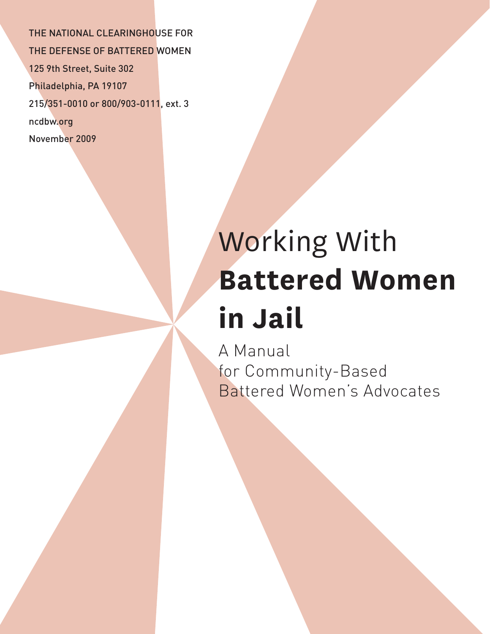THE NATIONAL CLEARINGHOUSE FOR THE DEFENSE OF BATTERED WOMEN 125 9th Street, Suite 302 Philadelphia, PA 19107 215/351-0010 or 800/903-0111, ext. 3 ncdbw.org November 2009

# Working With **Battered Women in Jail**

A Manual for Community-Based Battered Women's Advocates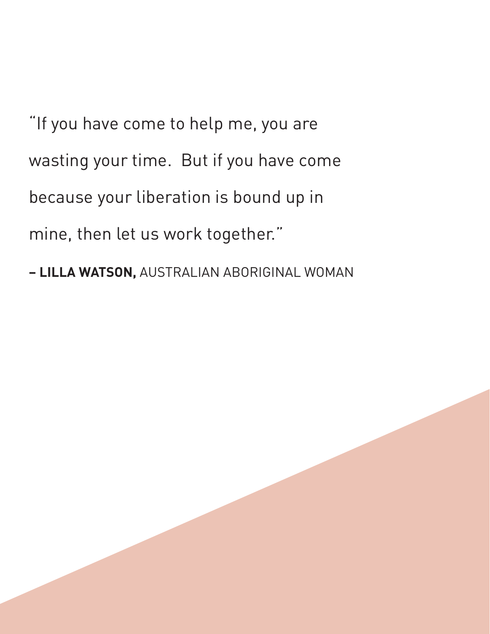"If you have come to help me, you are wasting your time. But if you have come because your liberation is bound up in mine, then let us work together."

**– LILLA WATSON,** AUSTRALIAN ABORIGINAL WOMAN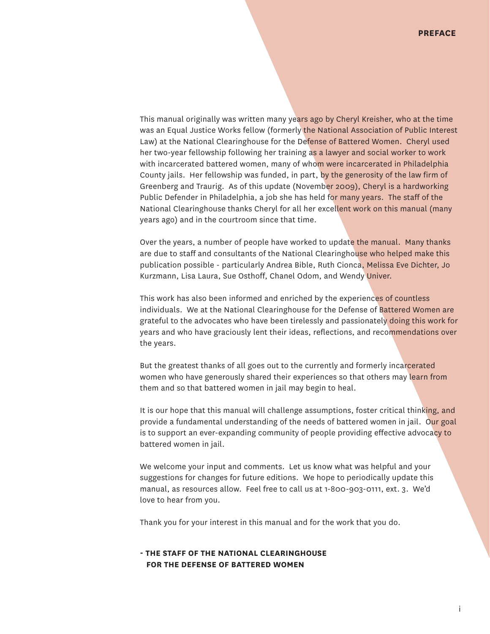This manual originally was written many years ago by Cheryl Kreisher, who at the time was an Equal Justice Works fellow (formerly the National Association of Public Interest Law) at the National Clearinghouse for the Defense of Battered Women. Cheryl used her two-year fellowship following her training as a lawyer and social worker to work with incarcerated battered women, many of whom were incarcerated in Philadelphia County jails. Her fellowship was funded, in part, by the generosity of the law firm of Greenberg and Traurig. As of this update (November 2009), Cheryl is a hardworking Public Defender in Philadelphia, a job she has held for many years. The staff of the National Clearinghouse thanks Cheryl for all her excellent work on this manual (many years ago) and in the courtroom since that time.

Over the years, a number of people have worked to update the manual. Many thanks are due to staff and consultants of the National Clearinghouse who helped make this publication possible - particularly Andrea Bible, Ruth Cionca, Melissa Eve Dichter, Jo Kurzmann, Lisa Laura, Sue Osthoff, Chanel Odom, and Wendy Univer.

This work has also been informed and enriched by the experiences of countless individuals. We at the National Clearinghouse for the Defense of Battered Women are grateful to the advocates who have been tirelessly and passionately doing this work for years and who have graciously lent their ideas, reflections, and recommendations over the years.

But the greatest thanks of all goes out to the currently and formerly incarcerated women who have generously shared their experiences so that others may learn from them and so that battered women in jail may begin to heal.

It is our hope that this manual will challenge assumptions, foster critical thinking, and provide a fundamental understanding of the needs of battered women in jail. Our goal is to support an ever-expanding community of people providing effective advocacy to battered women in jail.

We welcome your input and comments. Let us know what was helpful and your suggestions for changes for future editions. We hope to periodically update this manual, as resources allow. Feel free to call us at 1-800-903-0111, ext. 3. We'd love to hear from you.

Thank you for your interest in this manual and for the work that you do.

#### **- THE STAFF OF THE NATIONAL CLEARINGHOUSE FOR THE DEFENSE OF BATTERED WOMEN**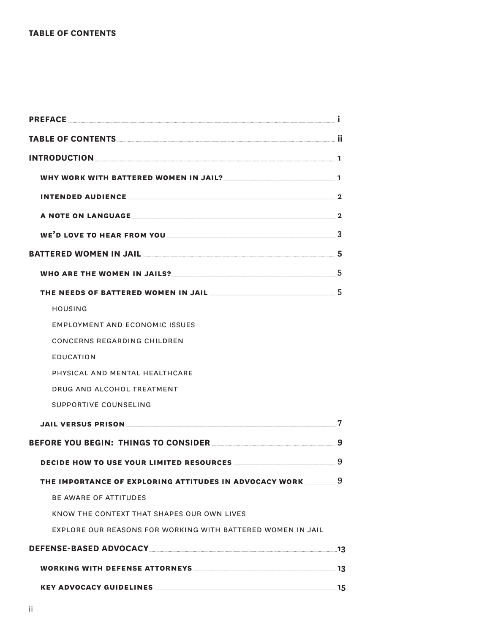|                                                                                                                         | $\mathbf{2}$ |
|-------------------------------------------------------------------------------------------------------------------------|--------------|
|                                                                                                                         |              |
| BATTERED WOMEN IN JAIL <b>And Account to the Contract of Street Account Contract Contract Contract Contract Control</b> |              |
|                                                                                                                         |              |
|                                                                                                                         |              |
| HOUSING                                                                                                                 |              |
| EMPLOYMENT AND ECONOMIC ISSUES                                                                                          |              |
| CONCERNS REGARDING CHILDREN                                                                                             |              |
| <b>EDUCATION</b>                                                                                                        |              |
| PHYSICAL AND MENTAL HEALTHCARE                                                                                          |              |
| DRUG AND ALCOHOL TREATMENT                                                                                              |              |
| SUPPORTIVE COUNSELING                                                                                                   |              |
| JAIL VERSUS PRISON EXPERIENCE AND THE STATE OF THE STATE OF THE STATE OF THE STATE OF THE STATE OF THE STATE O          | 7            |
|                                                                                                                         |              |
|                                                                                                                         | 9            |
| THE IMPORTANCE OF EXPLORING ATTITUDES IN ADVOCACY WORK                                                                  | 9            |
| <b>BE AWARE OF ATTITUDES</b>                                                                                            |              |
| KNOW THE CONTEXT THAT SHAPES OUR OWN LIVES                                                                              |              |
| EXPLORE OUR REASONS FOR WORKING WITH BATTERED WOMEN IN JAIL                                                             |              |
|                                                                                                                         |              |
|                                                                                                                         |              |
|                                                                                                                         |              |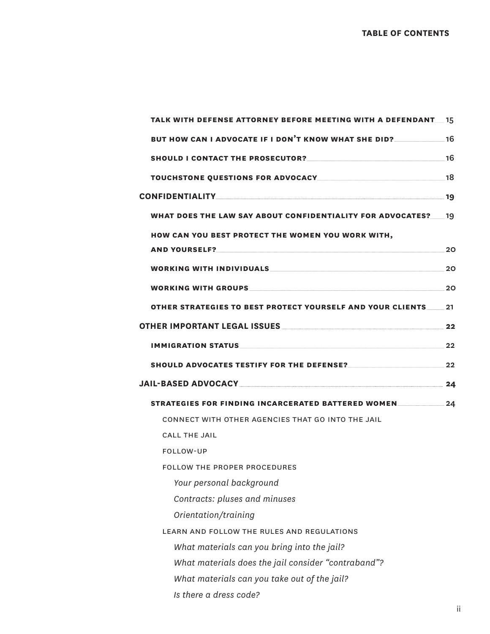| TALK WITH DEFENSE ATTORNEY BEFORE MEETING WITH A DEFENDANT 15                                                                                                                                                                  |      |
|--------------------------------------------------------------------------------------------------------------------------------------------------------------------------------------------------------------------------------|------|
| BUT HOW CAN I ADVOCATE IF I DON'T KNOW WHAT SHE DID? 16                                                                                                                                                                        |      |
|                                                                                                                                                                                                                                | - 16 |
|                                                                                                                                                                                                                                |      |
| CONFIDENTIALITY 19                                                                                                                                                                                                             |      |
|                                                                                                                                                                                                                                |      |
| WHAT DOES THE LAW SAY ABOUT CONFIDENTIALITY FOR ADVOCATES? 19                                                                                                                                                                  |      |
| HOW CAN YOU BEST PROTECT THE WOMEN YOU WORK WITH,                                                                                                                                                                              |      |
| AND YOURSELF?                                                                                                                                                                                                                  | 20   |
| WORKING WITH INDIVIDUALS WORKING WITH THE RESERVE AND THE RESERVE OF THE RESERVE OF THE RESERVE OF THE RESERVE OF THE RESERVE OF THE RESERVE OF THE RESERVE OF THE RESERVE OF THE RESERVE OF THE RESERVE OF THE RESERVE OF THE | 20   |
|                                                                                                                                                                                                                                | .20  |
| OTHER STRATEGIES TO BEST PROTECT YOURSELF AND YOUR CLIENTS                                                                                                                                                                     | 21   |
|                                                                                                                                                                                                                                |      |
| IMMIGRATION STATUS                                                                                                                                                                                                             | 22   |
|                                                                                                                                                                                                                                |      |
| SHOULD ADVOCATES TESTIFY FOR THE DEFENSE?                                                                                                                                                                                      | 22   |
| JAIL-BASED ADVOCACY 24                                                                                                                                                                                                         |      |
| STRATEGIES FOR FINDING INCARCERATED BATTERED WOMEN                                                                                                                                                                             | 24   |
| CONNECT WITH OTHER AGENCIES THAT GO INTO THE JAIL                                                                                                                                                                              |      |
| <b>CALL THE JAIL</b>                                                                                                                                                                                                           |      |
| FOLLOW-UP                                                                                                                                                                                                                      |      |
| <b>FOLLOW THE PROPER PROCEDURES</b>                                                                                                                                                                                            |      |
| Your personal background                                                                                                                                                                                                       |      |
| Contracts: pluses and minuses                                                                                                                                                                                                  |      |
| Orientation/training                                                                                                                                                                                                           |      |
| LEARN AND FOLLOW THE RULES AND REGULATIONS                                                                                                                                                                                     |      |
| What materials can you bring into the jail?                                                                                                                                                                                    |      |
| What materials does the jail consider "contraband"?                                                                                                                                                                            |      |
| What materials can you take out of the jail?                                                                                                                                                                                   |      |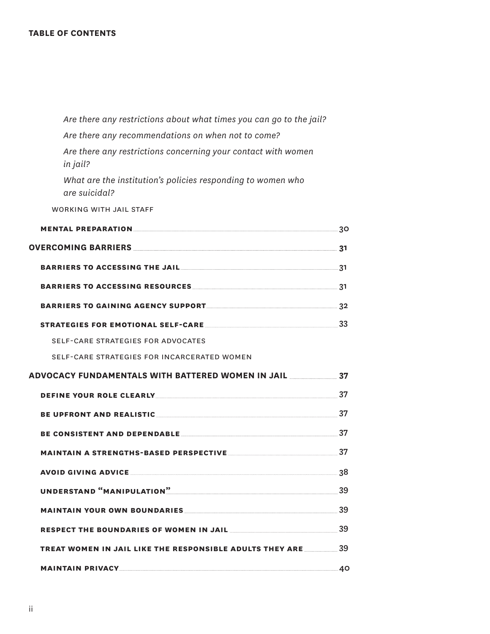#### **TABLE OF CONTENTS**

| Are there any restrictions about what times you can go to the jail?                                            |      |
|----------------------------------------------------------------------------------------------------------------|------|
| Are there any recommendations on when not to come?                                                             |      |
| Are there any restrictions concerning your contact with women<br>in jail?                                      |      |
| What are the institution's policies responding to women who<br>are suicidal?                                   |      |
| WORKING WITH JAIL STAFF                                                                                        |      |
|                                                                                                                |      |
|                                                                                                                |      |
|                                                                                                                |      |
|                                                                                                                |      |
|                                                                                                                |      |
| STRATEGIES FOR EMOTIONAL SELF-CARE                                                                             |      |
| SELF-CARE STRATEGIES FOR ADVOCATES                                                                             |      |
| SELF-CARE STRATEGIES FOR INCARCERATED WOMEN                                                                    |      |
| ADVOCACY FUNDAMENTALS WITH BATTERED WOMEN IN JAIL 37                                                           |      |
| DEFINE YOUR ROLE CLEARLY 27 2009                                                                               |      |
|                                                                                                                |      |
| BE CONSISTENT AND DEPENDABLE 37                                                                                |      |
|                                                                                                                |      |
| <b>AVOID GIVING ADVICE</b>                                                                                     | .38  |
| UNDERSTAND "MANIPULATION" NAMEL AND THE RESERVE OF STATE AND THE RESERVE OF STATE AND THE RESERVE OF STATE AND | 39   |
|                                                                                                                |      |
| RESPECT THE BOUNDARIES OF WOMEN IN JAIL                                                                        | - 39 |
| <b>TREAT WOMEN IN JAIL LIKE THE RESPONSIBLE ADULTS THEY ARE</b>                                                | 39   |
|                                                                                                                | 40   |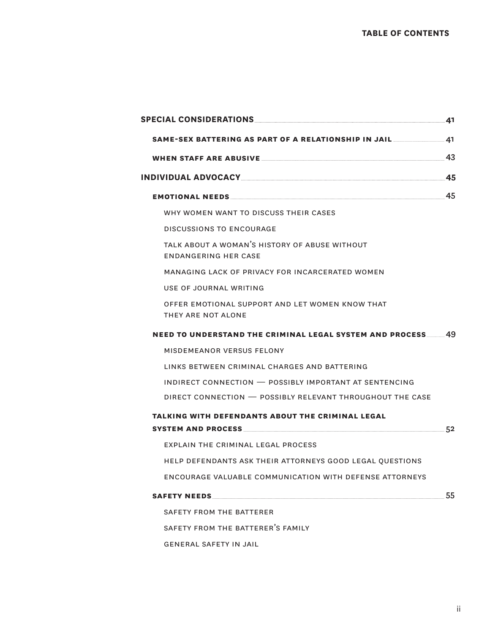| SPECIAL CONSIDERATIONS                                                       | 41 |
|------------------------------------------------------------------------------|----|
| SAME-SEX BATTERING AS PART OF A RELATIONSHIP IN JAIL__________               | 41 |
|                                                                              | 43 |
| INDIVIDUAL ADVOCACY                                                          | 45 |
| <b>EMOTIONAL NEEDS</b>                                                       | 45 |
| WHY WOMEN WANT TO DISCUSS THEIR CASES                                        |    |
| DISCUSSIONS TO ENCOURAGE                                                     |    |
| TALK ABOUT A WOMAN'S HISTORY OF ABUSE WITHOUT<br><b>ENDANGERING HER CASE</b> |    |
| MANAGING LACK OF PRIVACY FOR INCARCERATED WOMEN                              |    |
| USE OF JOURNAL WRITING                                                       |    |
| OFFER EMOTIONAL SUPPORT AND LET WOMEN KNOW THAT<br>THEY ARE NOT ALONE        |    |
| <b>NEED TO UNDERSTAND THE CRIMINAL LEGAL SYSTEM AND PROCESS 49</b>           |    |
| MISDEMEANOR VERSUS FELONY                                                    |    |
| LINKS BETWEEN CRIMINAL CHARGES AND BATTERING                                 |    |
| INDIRECT CONNECTION - POSSIBLY IMPORTANT AT SENTENCING                       |    |
| DIRECT CONNECTION - POSSIBLY RELEVANT THROUGHOUT THE CASE                    |    |
| TALKING WITH DEFENDANTS ABOUT THE CRIMINAL LEGAL                             |    |
|                                                                              | 52 |
| EXPLAIN THE CRIMINAL LEGAL PROCESS                                           |    |
| HELP DEFENDANTS ASK THEIR ATTORNEYS GOOD LEGAL OUESTIONS                     |    |
| ENCOURAGE VALUABLE COMMUNICATION WITH DEFENSE ATTORNEYS                      |    |
|                                                                              | 55 |
| SAFETY FROM THE BATTERER                                                     |    |
| SAFETY FROM THE BATTERER'S FAMILY                                            |    |
| <b>GENERAL SAFETY IN JAIL</b>                                                |    |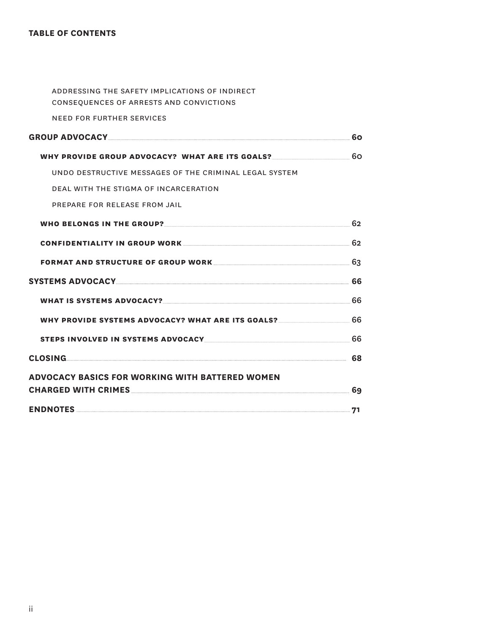#### **TABLE OF CONTENTS**

| ADDRESSING THE SAFETY IMPLICATIONS OF INDIRECT<br>CONSEQUENCES OF ARRESTS AND CONVICTIONS                      |    |
|----------------------------------------------------------------------------------------------------------------|----|
| <b>NEED FOR FURTHER SERVICES</b>                                                                               |    |
|                                                                                                                |    |
| WHY PROVIDE GROUP ADVOCACY? WHAT ARE ITS GOALS? ________________________________                               | 60 |
| UNDO DESTRUCTIVE MESSAGES OF THE CRIMINAL LEGAL SYSTEM                                                         |    |
| DEAL WITH THE STIGMA OF INCARCERATION                                                                          |    |
| PREPARE FOR RELEASE FROM JAIL                                                                                  |    |
| WHO BELONGS IN THE GROUP? 62                                                                                   |    |
| CONFIDENTIALITY IN GROUP WORK 62                                                                               |    |
| FORMAT AND STRUCTURE OF GROUP WORK <u>Container and the set of</u> 3                                           |    |
| SYSTEMS ADVOCACYNARY AND RESERVE TO A 1990 AND THE STATEMENT OF STATEMENT AND RESERVE TO A 1990 AND THE STATEM |    |
| WHAT IS SYSTEMS ADVOCACY? 66                                                                                   |    |
| WHY PROVIDE SYSTEMS ADVOCACY? WHAT ARE ITS GOALS? 66                                                           |    |
|                                                                                                                |    |
| CLOSING 68                                                                                                     |    |
| <b>ADVOCACY BASICS FOR WORKING WITH BATTERED WOMEN</b>                                                         |    |
| CHARGED WITH CRIMES <b>And Account CHARGED</b> WITH CRIMES <b>And Account CHARGED</b> WITH CRIMES              |    |
|                                                                                                                |    |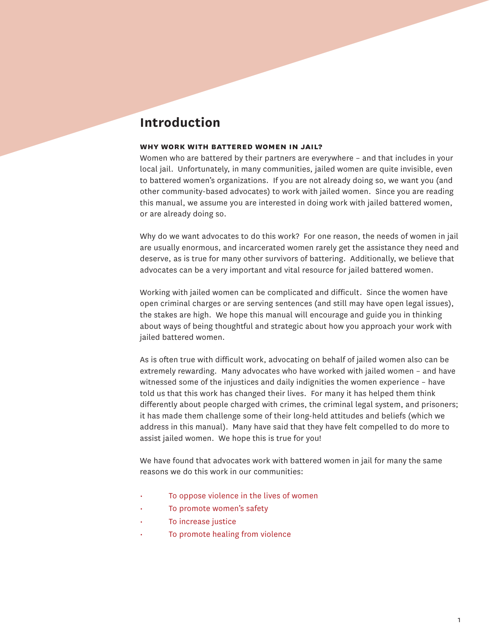## **Introduction**

#### **why work with battered women in jail?**

Women who are battered by their partners are everywhere – and that includes in your local jail. Unfortunately, in many communities, jailed women are quite invisible, even to battered women's organizations. If you are not already doing so, we want you (and other community-based advocates) to work with jailed women. Since you are reading this manual, we assume you are interested in doing work with jailed battered women, or are already doing so.

Why do we want advocates to do this work? For one reason, the needs of women in jail are usually enormous, and incarcerated women rarely get the assistance they need and deserve, as is true for many other survivors of battering. Additionally, we believe that advocates can be a very important and vital resource for jailed battered women.

Working with jailed women can be complicated and difficult. Since the women have open criminal charges or are serving sentences (and still may have open legal issues), the stakes are high. We hope this manual will encourage and guide you in thinking about ways of being thoughtful and strategic about how you approach your work with jailed battered women.

As is often true with difficult work, advocating on behalf of jailed women also can be extremely rewarding. Many advocates who have worked with jailed women – and have witnessed some of the injustices and daily indignities the women experience – have told us that this work has changed their lives. For many it has helped them think differently about people charged with crimes, the criminal legal system, and prisoners; it has made them challenge some of their long-held attitudes and beliefs (which we address in this manual). Many have said that they have felt compelled to do more to assist jailed women. We hope this is true for you!

We have found that advocates work with battered women in jail for many the same reasons we do this work in our communities:

- To oppose violence in the lives of women
- To promote women's safety
- To increase justice
- To promote healing from violence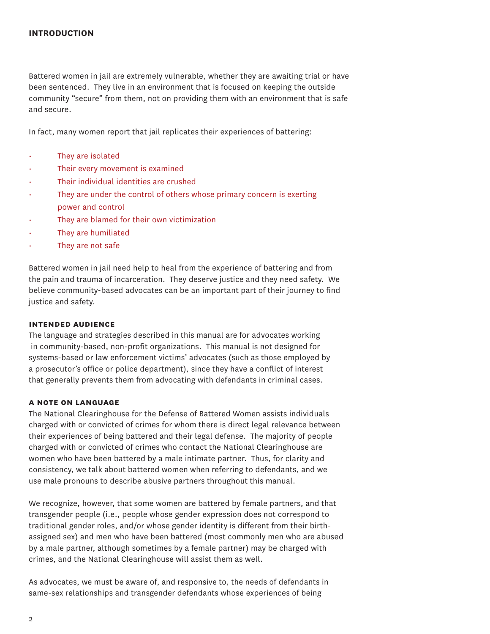Battered women in jail are extremely vulnerable, whether they are awaiting trial or have been sentenced. They live in an environment that is focused on keeping the outside community "secure" from them, not on providing them with an environment that is safe and secure.

In fact, many women report that jail replicates their experiences of battering:

- They are isolated
- Their every movement is examined
- Their individual identities are crushed
- They are under the control of others whose primary concern is exerting power and control
- They are blamed for their own victimization
- They are humiliated
- They are not safe

Battered women in jail need help to heal from the experience of battering and from the pain and trauma of incarceration. They deserve justice and they need safety. We believe community-based advocates can be an important part of their journey to find justice and safety.

#### **intended audience**

The language and strategies described in this manual are for advocates working in community-based, non-profit organizations. This manual is not designed for systems-based or law enforcement victims' advocates (such as those employed by a prosecutor's office or police department), since they have a conflict of interest that generally prevents them from advocating with defendants in criminal cases.

#### **a note on language**

The National Clearinghouse for the Defense of Battered Women assists individuals charged with or convicted of crimes for whom there is direct legal relevance between their experiences of being battered and their legal defense. The majority of people charged with or convicted of crimes who contact the National Clearinghouse are women who have been battered by a male intimate partner. Thus, for clarity and consistency, we talk about battered women when referring to defendants, and we use male pronouns to describe abusive partners throughout this manual.

We recognize, however, that some women are battered by female partners, and that transgender people (i.e., people whose gender expression does not correspond to traditional gender roles, and/or whose gender identity is different from their birthassigned sex) and men who have been battered (most commonly men who are abused by a male partner, although sometimes by a female partner) may be charged with crimes, and the National Clearinghouse will assist them as well.

As advocates, we must be aware of, and responsive to, the needs of defendants in same-sex relationships and transgender defendants whose experiences of being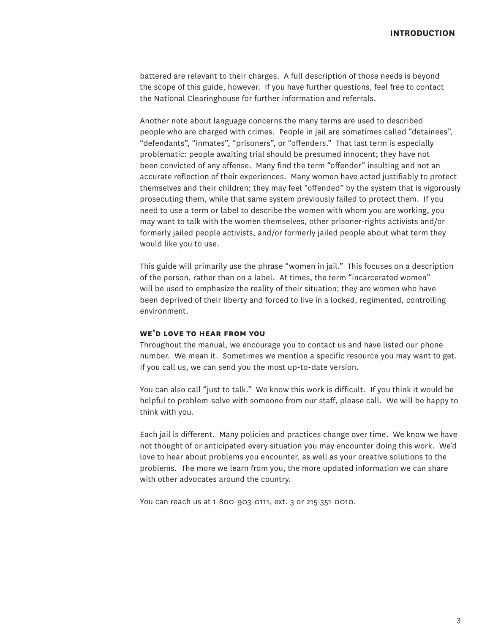battered are relevant to their charges. A full description of those needs is beyond the scope of this guide, however. If you have further questions, feel free to contact the National Clearinghouse for further information and referrals.

Another note about language concerns the many terms are used to described people who are charged with crimes. People in jail are sometimes called "detainees", "defendants", "inmates", "prisoners", or "offenders." That last term is especially problematic: people awaiting trial should be presumed innocent; they have not been convicted of any offense. Many find the term "offender" insulting and not an accurate reflection of their experiences. Many women have acted justifiably to protect themselves and their children; they may feel "offended" by the system that is vigorously prosecuting them, while that same system previously failed to protect them. If you need to use a term or label to describe the women with whom you are working, you may want to talk with the women themselves, other prisoner-rights activists and/or formerly jailed people activists, and/or formerly jailed people about what term they would like you to use.

This guide will primarily use the phrase "women in jail." This focuses on a description of the person, rather than on a label. At times, the term "incarcerated women" will be used to emphasize the reality of their situation; they are women who have been deprived of their liberty and forced to live in a locked, regimented, controlling environment.

#### **we'd love to hear from you**

Throughout the manual, we encourage you to contact us and have listed our phone number. We mean it. Sometimes we mention a specific resource you may want to get. If you call us, we can send you the most up-to-date version.

You can also call "just to talk." We know this work is difficult. If you think it would be helpful to problem-solve with someone from our staff, please call. We will be happy to think with you.

Each jail is different. Many policies and practices change over time. We know we have not thought of or anticipated every situation you may encounter doing this work. We'd love to hear about problems you encounter, as well as your creative solutions to the problems. The more we learn from you, the more updated information we can share with other advocates around the country.

You can reach us at 1-800-903-0111, ext. 3 or 215-351-0010.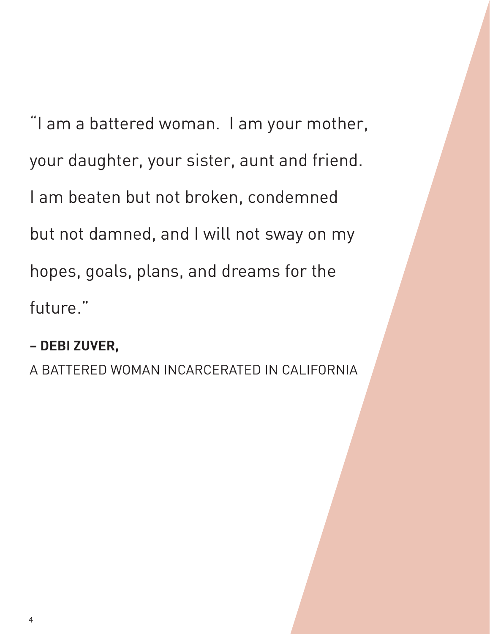"I am a battered woman. I am your mother, your daughter, your sister, aunt and friend. I am beaten but not broken, condemned but not damned, and I will not sway on my hopes, goals, plans, and dreams for the future."

# **– DEBI ZUVER,**

A BATTERED WOMAN INCARCERATED IN CALIFORNIA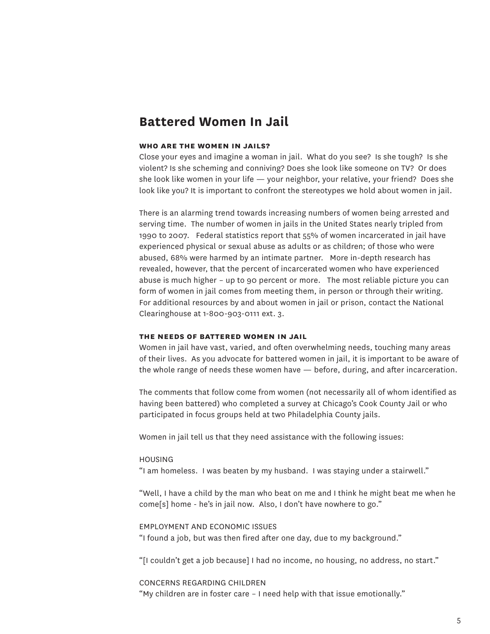### **Battered Women In Jail**

#### **who are the women in jails?**

Close your eyes and imagine a woman in jail. What do you see? Is she tough? Is she violent? Is she scheming and conniving? Does she look like someone on TV? Or does she look like women in your life — your neighbor, your relative, your friend? Does she look like you? It is important to confront the stereotypes we hold about women in jail.

There is an alarming trend towards increasing numbers of women being arrested and serving time. The number of women in jails in the United States nearly tripled from 1990 to 2007. Federal statistics report that 55% of women incarcerated in jail have experienced physical or sexual abuse as adults or as children; of those who were abused, 68% were harmed by an intimate partner. More in-depth research has revealed, however, that the percent of incarcerated women who have experienced abuse is much higher – up to 90 percent or more. The most reliable picture you can form of women in jail comes from meeting them, in person or through their writing. For additional resources by and about women in jail or prison, contact the National Clearinghouse at 1-800-903-0111 ext. 3.

#### **the needs of battered women in jail**

Women in jail have vast, varied, and often overwhelming needs, touching many areas of their lives. As you advocate for battered women in jail, it is important to be aware of the whole range of needs these women have — before, during, and after incarceration.

The comments that follow come from women (not necessarily all of whom identified as having been battered) who completed a survey at Chicago's Cook County Jail or who participated in focus groups held at two Philadelphia County jails.

Women in jail tell us that they need assistance with the following issues:

#### HOUSING

"I am homeless. I was beaten by my husband. I was staying under a stairwell."

"Well, I have a child by the man who beat on me and I think he might beat me when he come[s] home - he's in jail now. Also, I don't have nowhere to go."

EMPLOYMENT AND ECONOMIC ISSUES "I found a job, but was then fired after one day, due to my background."

"[I couldn't get a job because] I had no income, no housing, no address, no start."

CONCERNS REGARDING CHILDREN "My children are in foster care – I need help with that issue emotionally."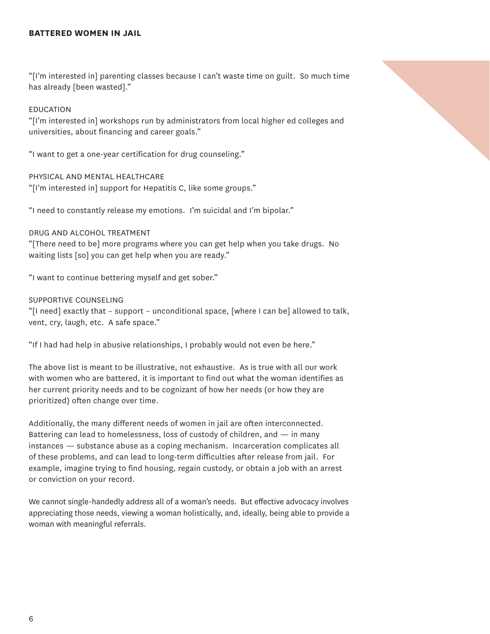#### **BATTERED WOMEN IN JAIL**

"[I'm interested in] parenting classes because I can't waste time on guilt. So much time has already [been wasted]."

#### EDUCATION

"[I'm interested in] workshops run by administrators from local higher ed colleges and universities, about financing and career goals."

"I want to get a one-year certification for drug counseling."

#### PHYSICAL AND MENTAL HEALTHCARE

"[I'm interested in] support for Hepatitis C, like some groups."

"I need to constantly release my emotions. I'm suicidal and I'm bipolar."

#### DRUG AND ALCOHOL TREATMENT

"[There need to be] more programs where you can get help when you take drugs. No waiting lists [so] you can get help when you are ready."

"I want to continue bettering myself and get sober."

#### SUPPORTIVE COUNSELING

"[I need] exactly that – support – unconditional space, [where I can be] allowed to talk, vent, cry, laugh, etc. A safe space."

"If I had had help in abusive relationships, I probably would not even be here."

The above list is meant to be illustrative, not exhaustive. As is true with all our work with women who are battered, it is important to find out what the woman identifies as her current priority needs and to be cognizant of how her needs (or how they are prioritized) often change over time.

Additionally, the many different needs of women in jail are often interconnected. Battering can lead to homelessness, loss of custody of children, and — in many instances — substance abuse as a coping mechanism. Incarceration complicates all of these problems, and can lead to long-term difficulties after release from jail. For example, imagine trying to find housing, regain custody, or obtain a job with an arrest or conviction on your record.

We cannot single-handedly address all of a woman's needs. But effective advocacy involves appreciating those needs, viewing a woman holistically, and, ideally, being able to provide a woman with meaningful referrals.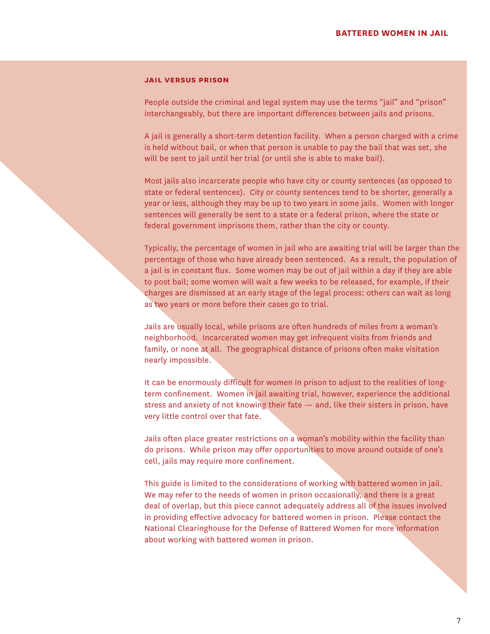#### **jail versus prison**

People outside the criminal and legal system may use the terms "jail" and "prison" interchangeably, but there are important differences between jails and prisons.

A jail is generally a short-term detention facility. When a person charged with a crime is held without bail, or when that person is unable to pay the bail that was set, she will be sent to jail until her trial (or until she is able to make bail).

Most jails also incarcerate people who have city or county sentences (as opposed to state or federal sentences). City or county sentences tend to be shorter, generally a year or less, although they may be up to two years in some jails. Women with longer sentences will generally be sent to a state or a federal prison, where the state or federal government imprisons them, rather than the city or county.

Typically, the percentage of women in jail who are awaiting trial will be larger than the percentage of those who have already been sentenced. As a result, the population of a jail is in constant flux. Some women may be out of jail within a day if they are able to post bail; some women will wait a few weeks to be released, for example, if their charges are dismissed at an early stage of the legal process; others can wait as long as two years or more before their cases go to trial.

Jails are usually local, while prisons are often hundreds of miles from a woman's neighborhood. Incarcerated women may get infrequent visits from friends and family, or none at all. The geographical distance of prisons often make visitation nearly impossible.

It can be enormously difficult for women in prison to adjust to the realities of longterm confinement. Women in jail awaiting trial, however, experience the additional stress and anxiety of not knowing their fate — and, like their sisters in prison, have very little control over that fate.

Jails often place greater restrictions on a woman's mobility within the facility than do prisons. While prison may offer opportunities to move around outside of one's cell, jails may require more confinement.

This guide is limited to the considerations of working with battered women in jail. We may refer to the needs of women in prison occasionally, and there is a great deal of overlap, but this piece cannot adequately address all of the issues involved in providing effective advocacy for battered women in prison. Please contact the National Clearinghouse for the Defense of Battered Women for more information about working with battered women in prison.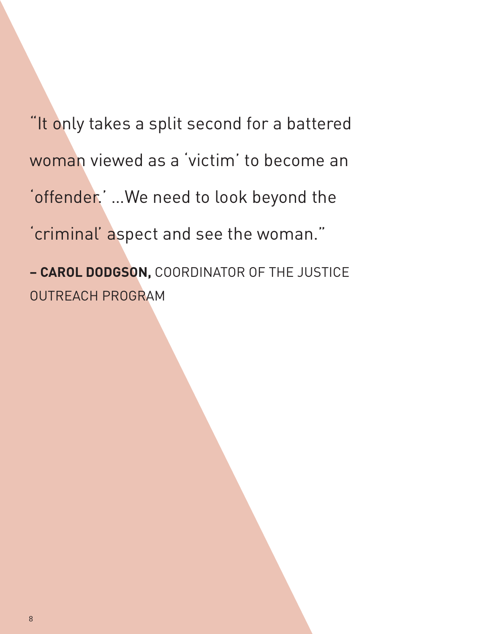"It only takes a split second for a battered woman viewed as a 'victim' to become an 'offender.' …We need to look beyond the 'criminal' aspect and see the woman." **– CAROL DODGSON,** COORDINATOR OF THE JUSTICE

OUTREACH PROGRAM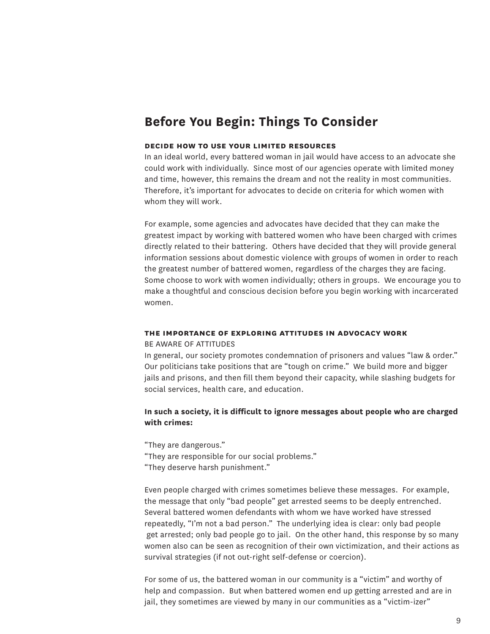## **Before You Begin: Things To Consider**

#### **decide how to use your limited resources**

In an ideal world, every battered woman in jail would have access to an advocate she could work with individually. Since most of our agencies operate with limited money and time, however, this remains the dream and not the reality in most communities. Therefore, it's important for advocates to decide on criteria for which women with whom they will work.

For example, some agencies and advocates have decided that they can make the greatest impact by working with battered women who have been charged with crimes directly related to their battering. Others have decided that they will provide general information sessions about domestic violence with groups of women in order to reach the greatest number of battered women, regardless of the charges they are facing. Some choose to work with women individually; others in groups. We encourage you to make a thoughtful and conscious decision before you begin working with incarcerated women.

#### **the importance of exploring attitudes in advocacy work**

#### BE AWARE OF ATTITUDES

In general, our society promotes condemnation of prisoners and values "law & order." Our politicians take positions that are "tough on crime." We build more and bigger jails and prisons, and then fill them beyond their capacity, while slashing budgets for social services, health care, and education.

#### **In such a society, it is difficult to ignore messages about people who are charged with crimes:**

"They are dangerous."

"They are responsible for our social problems."

"They deserve harsh punishment."

Even people charged with crimes sometimes believe these messages. For example, the message that only "bad people" get arrested seems to be deeply entrenched. Several battered women defendants with whom we have worked have stressed repeatedly, "I'm not a bad person." The underlying idea is clear: only bad people get arrested; only bad people go to jail. On the other hand, this response by so many women also can be seen as recognition of their own victimization, and their actions as survival strategies (if not out-right self-defense or coercion).

For some of us, the battered woman in our community is a "victim" and worthy of help and compassion. But when battered women end up getting arrested and are in jail, they sometimes are viewed by many in our communities as a "victim-izer"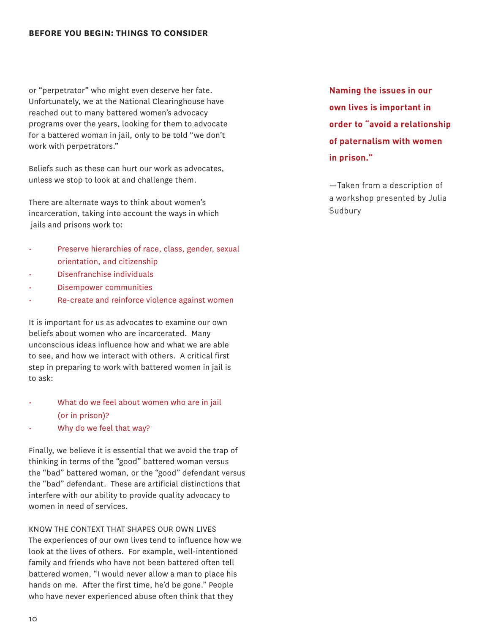#### **BEFORE YOU BEGIN: THINGS TO CONSIDER**

or "perpetrator" who might even deserve her fate. Unfortunately, we at the National Clearinghouse have reached out to many battered women's advocacy programs over the years, looking for them to advocate for a battered woman in jail, only to be told "we don't work with perpetrators."

Beliefs such as these can hurt our work as advocates, unless we stop to look at and challenge them.

There are alternate ways to think about women's incarceration, taking into account the ways in which jails and prisons work to:

- Preserve hierarchies of race, class, gender, sexual orientation, and citizenship
- Disenfranchise individuals
- Disempower communities
- Re-create and reinforce violence against women

It is important for us as advocates to examine our own beliefs about women who are incarcerated. Many unconscious ideas influence how and what we are able to see, and how we interact with others. A critical first step in preparing to work with battered women in jail is to ask:

#### What do we feel about women who are in jail (or in prison)?

• Why do we feel that way?

Finally, we believe it is essential that we avoid the trap of thinking in terms of the "good" battered woman versus the "bad" battered woman, or the "good" defendant versus the "bad" defendant. These are artificial distinctions that interfere with our ability to provide quality advocacy to women in need of services.

Know the context that shapes our own lives The experiences of our own lives tend to influence how we look at the lives of others. For example, well-intentioned family and friends who have not been battered often tell battered women, "I would never allow a man to place his hands on me. After the first time, he'd be gone." People who have never experienced abuse often think that they

**Naming the issues in our own lives is important in order to "avoid a relationship of paternalism with women in prison."**

—Taken from a description of a workshop presented by Julia Sudbury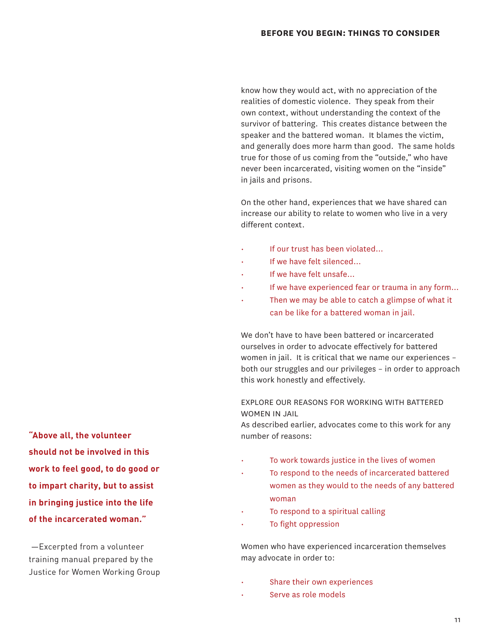know how they would act, with no appreciation of the realities of domestic violence. They speak from their own context, without understanding the context of the survivor of battering. This creates distance between the speaker and the battered woman. It blames the victim, and generally does more harm than good. The same holds true for those of us coming from the "outside," who have never been incarcerated, visiting women on the "inside" in jails and prisons.

On the other hand, experiences that we have shared can increase our ability to relate to women who live in a very different context.

- If our trust has been violated…
- If we have felt silenced...
- If we have felt unsafe...
- If we have experienced fear or trauma in any form...
- Then we may be able to catch a glimpse of what it can be like for a battered woman in jail.

We don't have to have been battered or incarcerated ourselves in order to advocate effectively for battered women in jail. It is critical that we name our experiences – both our struggles and our privileges – in order to approach this work honestly and effectively.

Explore our reasons for working with battered women in jail

As described earlier, advocates come to this work for any number of reasons:

- To work towards justice in the lives of women
- To respond to the needs of incarcerated battered women as they would to the needs of any battered woman
- To respond to a spiritual calling
- To fight oppression

Women who have experienced incarceration themselves may advocate in order to:

- Share their own experiences
- Serve as role models

**"Above all, the volunteer should not be involved in this work to feel good, to do good or to impart charity, but to assist in bringing justice into the life of the incarcerated woman."**

 —Excerpted from a volunteer training manual prepared by the Justice for Women Working Group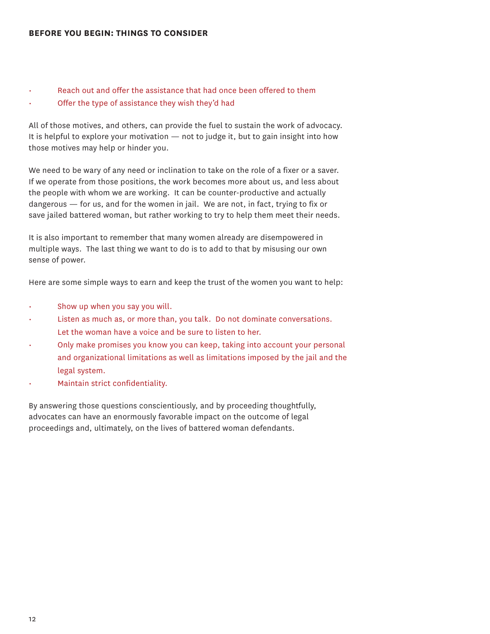#### **BEFORE YOU BEGIN: THINGS TO CONSIDER**

#### Reach out and offer the assistance that had once been offered to them

• Offer the type of assistance they wish they'd had

All of those motives, and others, can provide the fuel to sustain the work of advocacy. It is helpful to explore your motivation  $-$  not to judge it, but to gain insight into how those motives may help or hinder you.

We need to be wary of any need or inclination to take on the role of a fixer or a saver. If we operate from those positions, the work becomes more about us, and less about the people with whom we are working. It can be counter-productive and actually dangerous — for us, and for the women in jail. We are not, in fact, trying to fix or save jailed battered woman, but rather working to try to help them meet their needs.

It is also important to remember that many women already are disempowered in multiple ways. The last thing we want to do is to add to that by misusing our own sense of power.

Here are some simple ways to earn and keep the trust of the women you want to help:

- Show up when you say you will.
- Listen as much as, or more than, you talk. Do not dominate conversations. Let the woman have a voice and be sure to listen to her.
- Only make promises you know you can keep, taking into account your personal and organizational limitations as well as limitations imposed by the jail and the legal system.
- Maintain strict confidentiality.

By answering those questions conscientiously, and by proceeding thoughtfully, advocates can have an enormously favorable impact on the outcome of legal proceedings and, ultimately, on the lives of battered woman defendants.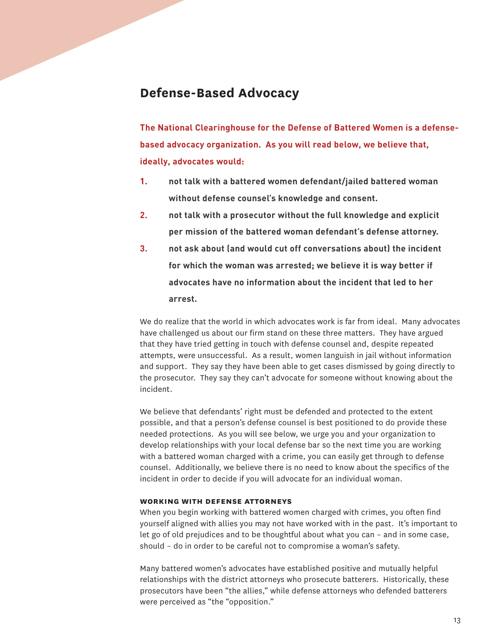## **Defense-Based Advocacy**

**The National Clearinghouse for the Defense of Battered Women is a defensebased advocacy organization. As you will read below, we believe that, ideally, advocates would:**

- **1. not talk with a battered women defendant/jailed battered woman without defense counsel's knowledge and consent.**
- **2. not talk with a prosecutor without the full knowledge and explicit per mission of the battered woman defendant's defense attorney.**
- **3. not ask about (and would cut off conversations about) the incident for which the woman was arrested; we believe it is way better if advocates have no information about the incident that led to her arrest.**

We do realize that the world in which advocates work is far from ideal. Many advocates have challenged us about our firm stand on these three matters. They have argued that they have tried getting in touch with defense counsel and, despite repeated attempts, were unsuccessful. As a result, women languish in jail without information and support. They say they have been able to get cases dismissed by going directly to the prosecutor. They say they can't advocate for someone without knowing about the incident.

We believe that defendants' right must be defended and protected to the extent possible, and that a person's defense counsel is best positioned to do provide these needed protections. As you will see below, we urge you and your organization to develop relationships with your local defense bar so the next time you are working with a battered woman charged with a crime, you can easily get through to defense counsel. Additionally, we believe there is no need to know about the specifics of the incident in order to decide if you will advocate for an individual woman.

#### **working with defense attorneys**

When you begin working with battered women charged with crimes, you often find yourself aligned with allies you may not have worked with in the past. It's important to let go of old prejudices and to be thoughtful about what you can – and in some case, should – do in order to be careful not to compromise a woman's safety.

Many battered women's advocates have established positive and mutually helpful relationships with the district attorneys who prosecute batterers. Historically, these prosecutors have been "the allies," while defense attorneys who defended batterers were perceived as "the "opposition."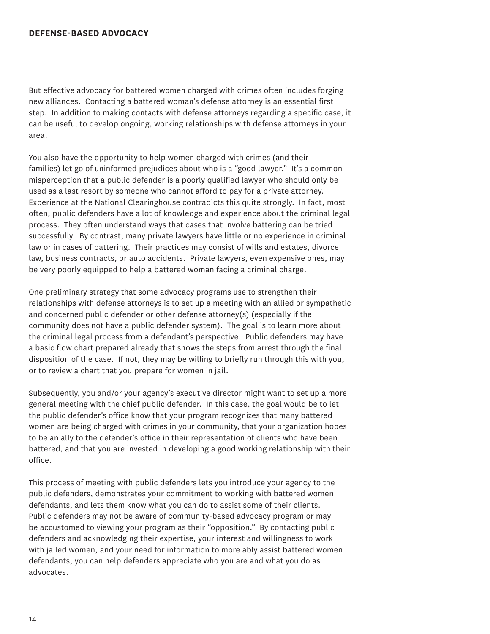#### **DEFENSE-BASED ADVOCACY**

But effective advocacy for battered women charged with crimes often includes forging new alliances. Contacting a battered woman's defense attorney is an essential first step. In addition to making contacts with defense attorneys regarding a specific case, it can be useful to develop ongoing, working relationships with defense attorneys in your area.

You also have the opportunity to help women charged with crimes (and their families) let go of uninformed prejudices about who is a "good lawyer." It's a common misperception that a public defender is a poorly qualified lawyer who should only be used as a last resort by someone who cannot afford to pay for a private attorney. Experience at the National Clearinghouse contradicts this quite strongly. In fact, most often, public defenders have a lot of knowledge and experience about the criminal legal process. They often understand ways that cases that involve battering can be tried successfully. By contrast, many private lawyers have little or no experience in criminal law or in cases of battering. Their practices may consist of wills and estates, divorce law, business contracts, or auto accidents. Private lawyers, even expensive ones, may be very poorly equipped to help a battered woman facing a criminal charge.

One preliminary strategy that some advocacy programs use to strengthen their relationships with defense attorneys is to set up a meeting with an allied or sympathetic and concerned public defender or other defense attorney(s) (especially if the community does not have a public defender system). The goal is to learn more about the criminal legal process from a defendant's perspective. Public defenders may have a basic flow chart prepared already that shows the steps from arrest through the final disposition of the case. If not, they may be willing to briefly run through this with you, or to review a chart that you prepare for women in jail.

Subsequently, you and/or your agency's executive director might want to set up a more general meeting with the chief public defender. In this case, the goal would be to let the public defender's office know that your program recognizes that many battered women are being charged with crimes in your community, that your organization hopes to be an ally to the defender's office in their representation of clients who have been battered, and that you are invested in developing a good working relationship with their office.

This process of meeting with public defenders lets you introduce your agency to the public defenders, demonstrates your commitment to working with battered women defendants, and lets them know what you can do to assist some of their clients. Public defenders may not be aware of community-based advocacy program or may be accustomed to viewing your program as their "opposition." By contacting public defenders and acknowledging their expertise, your interest and willingness to work with jailed women, and your need for information to more ably assist battered women defendants, you can help defenders appreciate who you are and what you do as advocates.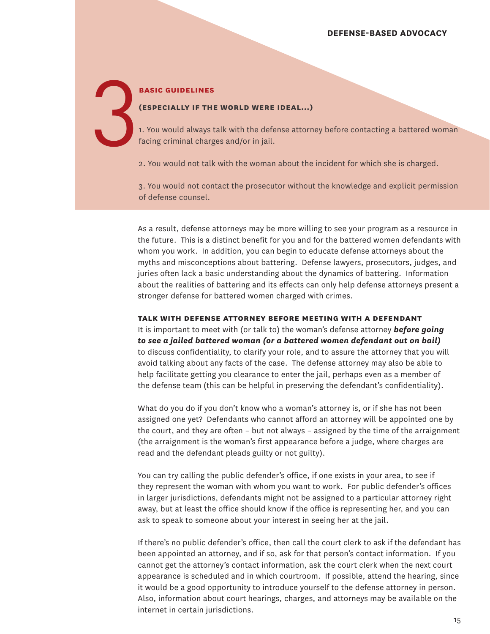#### **basic guidelines**

#### **(especially if the world were ideal…)**

1. You would always talk with the defense attorney before contacting a battered woman facing criminal charges and/or in jail. 3

2. You would not talk with the woman about the incident for which she is charged.

3. You would not contact the prosecutor without the knowledge and explicit permission of defense counsel.

As a result, defense attorneys may be more willing to see your program as a resource in the future. This is a distinct benefit for you and for the battered women defendants with whom you work. In addition, you can begin to educate defense attorneys about the myths and misconceptions about battering. Defense lawyers, prosecutors, judges, and juries often lack a basic understanding about the dynamics of battering. Information about the realities of battering and its effects can only help defense attorneys present a stronger defense for battered women charged with crimes.

**talk with defense attorney before meeting with a defendant** It is important to meet with (or talk to) the woman's defense attorney *before going* 

*to see a jailed battered woman (or a battered women defendant out on bail)* to discuss confidentiality, to clarify your role, and to assure the attorney that you will avoid talking about any facts of the case. The defense attorney may also be able to help facilitate getting you clearance to enter the jail, perhaps even as a member of the defense team (this can be helpful in preserving the defendant's confidentiality).

What do you do if you don't know who a woman's attorney is, or if she has not been assigned one yet? Defendants who cannot afford an attorney will be appointed one by the court, and they are often – but not always – assigned by the time of the arraignment (the arraignment is the woman's first appearance before a judge, where charges are read and the defendant pleads guilty or not guilty).

You can try calling the public defender's office, if one exists in your area, to see if they represent the woman with whom you want to work. For public defender's offices in larger jurisdictions, defendants might not be assigned to a particular attorney right away, but at least the office should know if the office is representing her, and you can ask to speak to someone about your interest in seeing her at the jail.

If there's no public defender's office, then call the court clerk to ask if the defendant has been appointed an attorney, and if so, ask for that person's contact information. If you cannot get the attorney's contact information, ask the court clerk when the next court appearance is scheduled and in which courtroom. If possible, attend the hearing, since it would be a good opportunity to introduce yourself to the defense attorney in person. Also, information about court hearings, charges, and attorneys may be available on the internet in certain jurisdictions.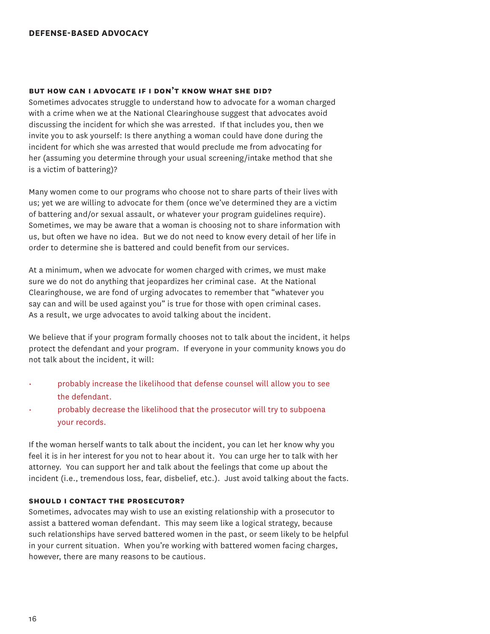#### **DEFENSE-BASED ADVOCACY**

#### **but how can i advocate if i don't know what she did?**

Sometimes advocates struggle to understand how to advocate for a woman charged with a crime when we at the National Clearinghouse suggest that advocates avoid discussing the incident for which she was arrested. If that includes you, then we invite you to ask yourself: Is there anything a woman could have done during the incident for which she was arrested that would preclude me from advocating for her (assuming you determine through your usual screening/intake method that she is a victim of battering)?

Many women come to our programs who choose not to share parts of their lives with us; yet we are willing to advocate for them (once we've determined they are a victim of battering and/or sexual assault, or whatever your program guidelines require). Sometimes, we may be aware that a woman is choosing not to share information with us, but often we have no idea. But we do not need to know every detail of her life in order to determine she is battered and could benefit from our services.

At a minimum, when we advocate for women charged with crimes, we must make sure we do not do anything that jeopardizes her criminal case. At the National Clearinghouse, we are fond of urging advocates to remember that "whatever you say can and will be used against you" is true for those with open criminal cases. As a result, we urge advocates to avoid talking about the incident.

We believe that if your program formally chooses not to talk about the incident, it helps protect the defendant and your program. If everyone in your community knows you do not talk about the incident, it will:

- probably increase the likelihood that defense counsel will allow you to see the defendant.
- probably decrease the likelihood that the prosecutor will try to subpoena your records.

If the woman herself wants to talk about the incident, you can let her know why you feel it is in her interest for you not to hear about it. You can urge her to talk with her attorney. You can support her and talk about the feelings that come up about the incident (i.e., tremendous loss, fear, disbelief, etc.). Just avoid talking about the facts.

#### **should i contact the prosecutor?**

Sometimes, advocates may wish to use an existing relationship with a prosecutor to assist a battered woman defendant. This may seem like a logical strategy, because such relationships have served battered women in the past, or seem likely to be helpful in your current situation. When you're working with battered women facing charges, however, there are many reasons to be cautious.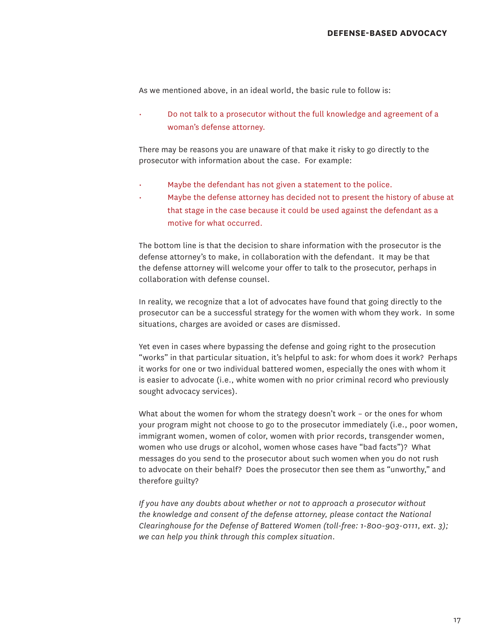As we mentioned above, in an ideal world, the basic rule to follow is:

• Do not talk to a prosecutor without the full knowledge and agreement of a woman's defense attorney.

There may be reasons you are unaware of that make it risky to go directly to the prosecutor with information about the case. For example:

- Maybe the defendant has not given a statement to the police.
- Maybe the defense attorney has decided not to present the history of abuse at that stage in the case because it could be used against the defendant as a motive for what occurred.

The bottom line is that the decision to share information with the prosecutor is the defense attorney's to make, in collaboration with the defendant. It may be that the defense attorney will welcome your offer to talk to the prosecutor, perhaps in collaboration with defense counsel.

In reality, we recognize that a lot of advocates have found that going directly to the prosecutor can be a successful strategy for the women with whom they work. In some situations, charges are avoided or cases are dismissed.

Yet even in cases where bypassing the defense and going right to the prosecution "works" in that particular situation, it's helpful to ask: for whom does it work? Perhaps it works for one or two individual battered women, especially the ones with whom it is easier to advocate (i.e., white women with no prior criminal record who previously sought advocacy services).

What about the women for whom the strategy doesn't work – or the ones for whom your program might not choose to go to the prosecutor immediately (i.e., poor women, immigrant women, women of color, women with prior records, transgender women, women who use drugs or alcohol, women whose cases have "bad facts")? What messages do you send to the prosecutor about such women when you do not rush to advocate on their behalf? Does the prosecutor then see them as "unworthy," and therefore guilty?

*If you have any doubts about whether or not to approach a prosecutor without the knowledge and consent of the defense attorney, please contact the National Clearinghouse for the Defense of Battered Women (toll-free: 1-800-903-0111, ext. 3); we can help you think through this complex situation.*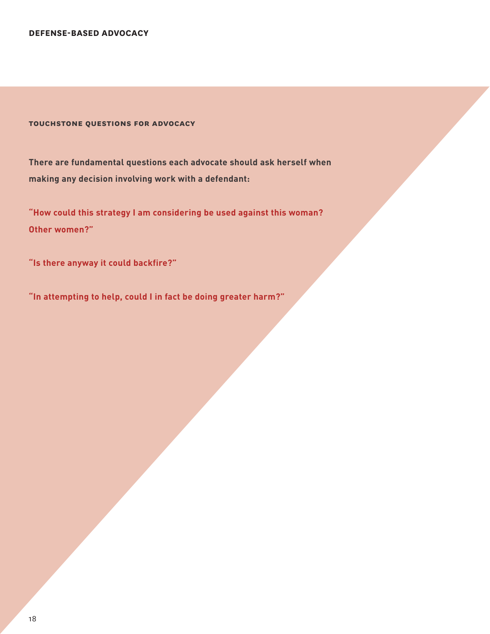**DEFENSE-BASED ADVOCACY**

**touchstone questions for advocacy**

**There are fundamental questions each advocate should ask herself when making any decision involving work with a defendant:** 

**"How could this strategy I am considering be used against this woman? Other women?"** 

**"Is there anyway it could backfire?"** 

**"In attempting to help, could I in fact be doing greater harm?"**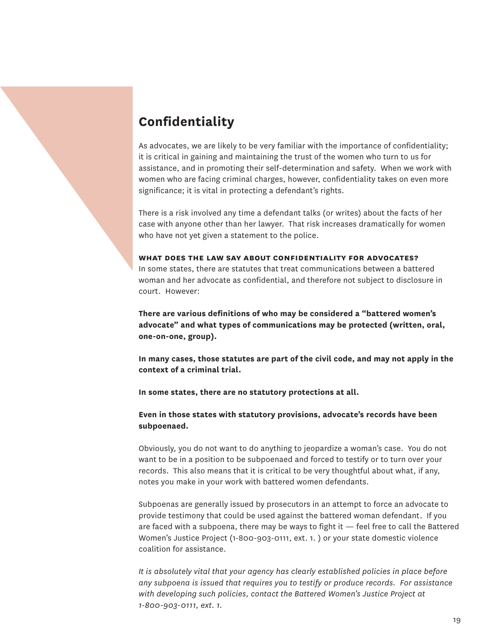# **Confidentiality**

As advocates, we are likely to be very familiar with the importance of confidentiality; it is critical in gaining and maintaining the trust of the women who turn to us for assistance, and in promoting their self-determination and safety. When we work with women who are facing criminal charges, however, confidentiality takes on even more significance; it is vital in protecting a defendant's rights.

There is a risk involved any time a defendant talks (or writes) about the facts of her case with anyone other than her lawyer. That risk increases dramatically for women who have not yet given a statement to the police.

#### **what does the law say about confidentiality for advocates?**

In some states, there are statutes that treat communications between a battered woman and her advocate as confidential, and therefore not subject to disclosure in court. However:

**There are various definitions of who may be considered a "battered women's advocate" and what types of communications may be protected (written, oral, one-on-one, group).**

**In many cases, those statutes are part of the civil code, and may not apply in the context of a criminal trial.** 

**In some states, there are no statutory protections at all.** 

#### **Even in those states with statutory provisions, advocate's records have been subpoenaed.**

Obviously, you do not want to do anything to jeopardize a woman's case. You do not want to be in a position to be subpoenaed and forced to testify or to turn over your records. This also means that it is critical to be very thoughtful about what, if any, notes you make in your work with battered women defendants.

Subpoenas are generally issued by prosecutors in an attempt to force an advocate to provide testimony that could be used against the battered woman defendant. If you are faced with a subpoena, there may be ways to fight it — feel free to call the Battered Women's Justice Project (1-800-903-0111, ext. 1. ) or your state domestic violence coalition for assistance.

*It is absolutely vital that your agency has clearly established policies in place before any subpoena is issued that requires you to testify or produce records. For assistance with developing such policies, contact the Battered Women's Justice Project at 1-800-903-0111, ext. 1.*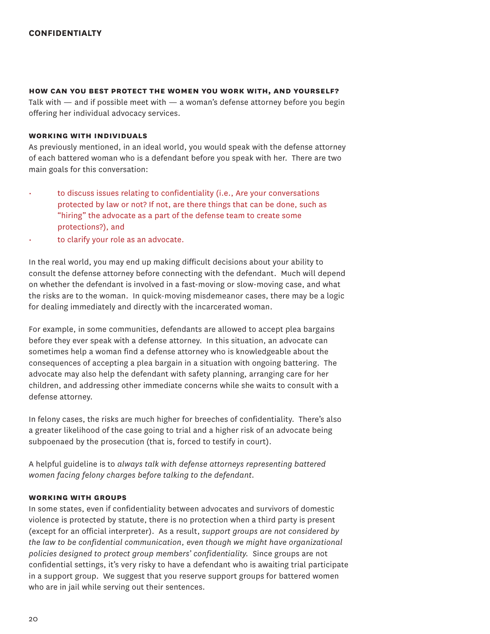#### **how can you best protect the women you work with, and yourself?**

Talk with  $-$  and if possible meet with  $-$  a woman's defense attorney before you begin offering her individual advocacy services.

#### **working with individuals**

As previously mentioned, in an ideal world, you would speak with the defense attorney of each battered woman who is a defendant before you speak with her. There are two main goals for this conversation:

- to discuss issues relating to confidentiality (i.e., Are your conversations protected by law or not? If not, are there things that can be done, such as "hiring" the advocate as a part of the defense team to create some protections?), and
- to clarify your role as an advocate.

In the real world, you may end up making difficult decisions about your ability to consult the defense attorney before connecting with the defendant. Much will depend on whether the defendant is involved in a fast-moving or slow-moving case, and what the risks are to the woman. In quick-moving misdemeanor cases, there may be a logic for dealing immediately and directly with the incarcerated woman.

For example, in some communities, defendants are allowed to accept plea bargains before they ever speak with a defense attorney. In this situation, an advocate can sometimes help a woman find a defense attorney who is knowledgeable about the consequences of accepting a plea bargain in a situation with ongoing battering. The advocate may also help the defendant with safety planning, arranging care for her children, and addressing other immediate concerns while she waits to consult with a defense attorney.

In felony cases, the risks are much higher for breeches of confidentiality. There's also a greater likelihood of the case going to trial and a higher risk of an advocate being subpoenaed by the prosecution (that is, forced to testify in court).

A helpful guideline is to *always talk with defense attorneys representing battered women facing felony charges before talking to the defendant.* 

#### **working with groups**

In some states, even if confidentiality between advocates and survivors of domestic violence is protected by statute, there is no protection when a third party is present (except for an official interpreter). As a result, *support groups are not considered by the law to be confidential communication, even though we might have organizational policies designed to protect group members' confidentiality.* Since groups are not confidential settings, it's very risky to have a defendant who is awaiting trial participate in a support group. We suggest that you reserve support groups for battered women who are in jail while serving out their sentences.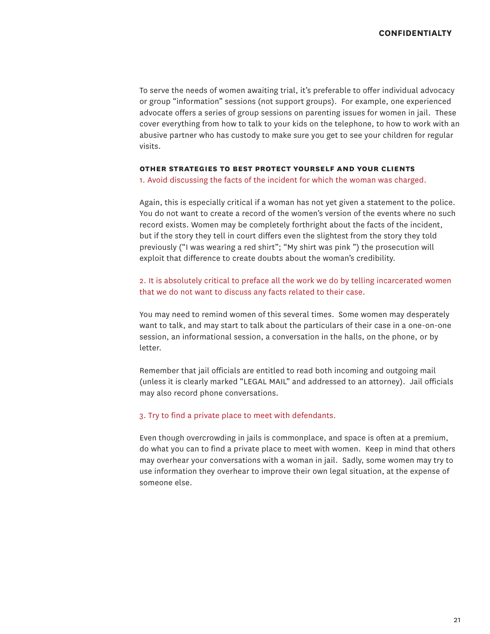To serve the needs of women awaiting trial, it's preferable to offer individual advocacy or group "information" sessions (not support groups). For example, one experienced advocate offers a series of group sessions on parenting issues for women in jail. These cover everything from how to talk to your kids on the telephone, to how to work with an abusive partner who has custody to make sure you get to see your children for regular visits.

#### **other strategies to best protect yourself and your clients**

1. Avoid discussing the facts of the incident for which the woman was charged.

Again, this is especially critical if a woman has not yet given a statement to the police. You do not want to create a record of the women's version of the events where no such record exists. Women may be completely forthright about the facts of the incident, but if the story they tell in court differs even the slightest from the story they told previously ("I was wearing a red shirt"; "My shirt was pink ") the prosecution will exploit that difference to create doubts about the woman's credibility.

2. It is absolutely critical to preface all the work we do by telling incarcerated women that we do not want to discuss any facts related to their case.

You may need to remind women of this several times. Some women may desperately want to talk, and may start to talk about the particulars of their case in a one-on-one session, an informational session, a conversation in the halls, on the phone, or by letter.

Remember that jail officials are entitled to read both incoming and outgoing mail (unless it is clearly marked "LEGAL MAIL" and addressed to an attorney). Jail officials may also record phone conversations.

#### 3. Try to find a private place to meet with defendants.

Even though overcrowding in jails is commonplace, and space is often at a premium, do what you can to find a private place to meet with women. Keep in mind that others may overhear your conversations with a woman in jail. Sadly, some women may try to use information they overhear to improve their own legal situation, at the expense of someone else.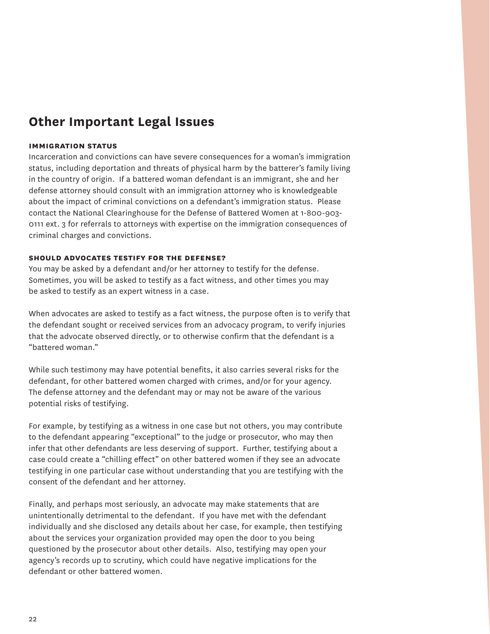## **Other Important Legal Issues**

#### **immigration status**

Incarceration and convictions can have severe consequences for a woman's immigration status, including deportation and threats of physical harm by the batterer's family living in the country of origin. If a battered woman defendant is an immigrant, she and her defense attorney should consult with an immigration attorney who is knowledgeable about the impact of criminal convictions on a defendant's immigration status. Please contact the National Clearinghouse for the Defense of Battered Women at 1-800-903- 0111 ext. 3 for referrals to attorneys with expertise on the immigration consequences of criminal charges and convictions.

#### **should advocates testify for the defense?**

You may be asked by a defendant and/or her attorney to testify for the defense. Sometimes, you will be asked to testify as a fact witness, and other times you may be asked to testify as an expert witness in a case.

When advocates are asked to testify as a fact witness, the purpose often is to verify that the defendant sought or received services from an advocacy program, to verify injuries that the advocate observed directly, or to otherwise confirm that the defendant is a "battered woman."

While such testimony may have potential benefits, it also carries several risks for the defendant, for other battered women charged with crimes, and/or for your agency. The defense attorney and the defendant may or may not be aware of the various potential risks of testifying.

For example, by testifying as a witness in one case but not others, you may contribute to the defendant appearing "exceptional" to the judge or prosecutor, who may then infer that other defendants are less deserving of support. Further, testifying about a case could create a "chilling effect" on other battered women if they see an advocate testifying in one particular case without understanding that you are testifying with the consent of the defendant and her attorney.

Finally, and perhaps most seriously, an advocate may make statements that are unintentionally detrimental to the defendant. If you have met with the defendant individually and she disclosed any details about her case, for example, then testifying about the services your organization provided may open the door to you being questioned by the prosecutor about other details. Also, testifying may open your agency's records up to scrutiny, which could have negative implications for the defendant or other battered women.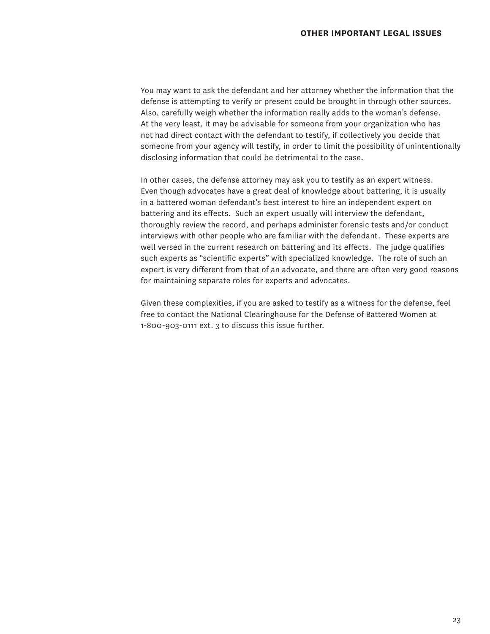You may want to ask the defendant and her attorney whether the information that the defense is attempting to verify or present could be brought in through other sources. Also, carefully weigh whether the information really adds to the woman's defense. At the very least, it may be advisable for someone from your organization who has not had direct contact with the defendant to testify, if collectively you decide that someone from your agency will testify, in order to limit the possibility of unintentionally disclosing information that could be detrimental to the case.

In other cases, the defense attorney may ask you to testify as an expert witness. Even though advocates have a great deal of knowledge about battering, it is usually in a battered woman defendant's best interest to hire an independent expert on battering and its effects. Such an expert usually will interview the defendant, thoroughly review the record, and perhaps administer forensic tests and/or conduct interviews with other people who are familiar with the defendant. These experts are well versed in the current research on battering and its effects. The judge qualifies such experts as "scientific experts" with specialized knowledge. The role of such an expert is very different from that of an advocate, and there are often very good reasons for maintaining separate roles for experts and advocates.

Given these complexities, if you are asked to testify as a witness for the defense, feel free to contact the National Clearinghouse for the Defense of Battered Women at 1-800-903-0111 ext. 3 to discuss this issue further.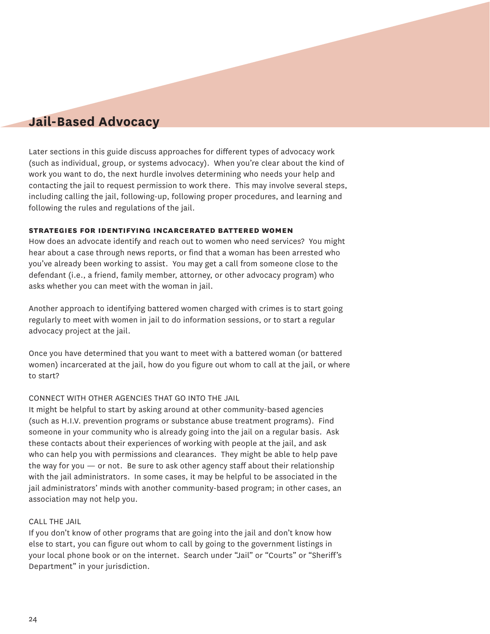## **Jail-Based Advocacy**

Later sections in this guide discuss approaches for different types of advocacy work (such as individual, group, or systems advocacy). When you're clear about the kind of work you want to do, the next hurdle involves determining who needs your help and contacting the jail to request permission to work there. This may involve several steps, including calling the jail, following-up, following proper procedures, and learning and following the rules and regulations of the jail.

#### **strategies for identifying incarcerated battered women**

How does an advocate identify and reach out to women who need services? You might hear about a case through news reports, or find that a woman has been arrested who you've already been working to assist. You may get a call from someone close to the defendant (i.e., a friend, family member, attorney, or other advocacy program) who asks whether you can meet with the woman in jail.

Another approach to identifying battered women charged with crimes is to start going regularly to meet with women in jail to do information sessions, or to start a regular advocacy project at the jail.

Once you have determined that you want to meet with a battered woman (or battered women) incarcerated at the jail, how do you figure out whom to call at the jail, or where to start?

#### connect with other agencies that go into the jail

It might be helpful to start by asking around at other community-based agencies (such as H.I.V. prevention programs or substance abuse treatment programs). Find someone in your community who is already going into the jail on a regular basis. Ask these contacts about their experiences of working with people at the jail, and ask who can help you with permissions and clearances. They might be able to help pave the way for you  $-$  or not. Be sure to ask other agency staff about their relationship with the jail administrators. In some cases, it may be helpful to be associated in the jail administrators' minds with another community-based program; in other cases, an association may not help you.

#### Call the jail

If you don't know of other programs that are going into the jail and don't know how else to start, you can figure out whom to call by going to the government listings in your local phone book or on the internet. Search under "Jail" or "Courts" or "Sheriff's Department" in your jurisdiction.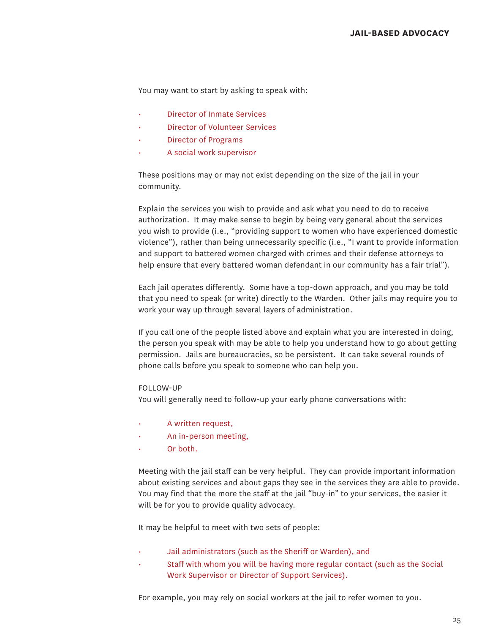You may want to start by asking to speak with:

- Director of Inmate Services
- Director of Volunteer Services
- Director of Programs
- A social work supervisor

These positions may or may not exist depending on the size of the jail in your community.

Explain the services you wish to provide and ask what you need to do to receive authorization. It may make sense to begin by being very general about the services you wish to provide (i.e., "providing support to women who have experienced domestic violence"), rather than being unnecessarily specific (i.e., "I want to provide information and support to battered women charged with crimes and their defense attorneys to help ensure that every battered woman defendant in our community has a fair trial").

Each jail operates differently. Some have a top-down approach, and you may be told that you need to speak (or write) directly to the Warden. Other jails may require you to work your way up through several layers of administration.

If you call one of the people listed above and explain what you are interested in doing, the person you speak with may be able to help you understand how to go about getting permission. Jails are bureaucracies, so be persistent. It can take several rounds of phone calls before you speak to someone who can help you.

#### Follow-up

You will generally need to follow-up your early phone conversations with:

- A written request,
- An in-person meeting,
- Or both.

Meeting with the jail staff can be very helpful. They can provide important information about existing services and about gaps they see in the services they are able to provide. You may find that the more the staff at the jail "buy-in" to your services, the easier it will be for you to provide quality advocacy.

It may be helpful to meet with two sets of people:

- Jail administrators (such as the Sheriff or Warden), and
- Staff with whom you will be having more regular contact (such as the Social Work Supervisor or Director of Support Services).

For example, you may rely on social workers at the jail to refer women to you.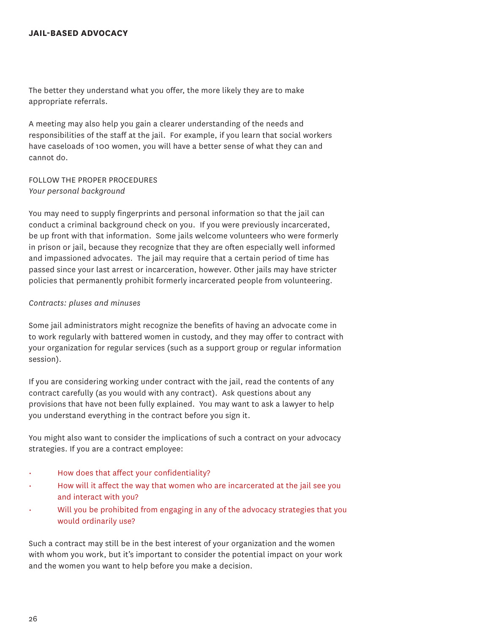The better they understand what you offer, the more likely they are to make appropriate referrals.

A meeting may also help you gain a clearer understanding of the needs and responsibilities of the staff at the jail. For example, if you learn that social workers have caseloads of 100 women, you will have a better sense of what they can and cannot do.

FOI LOW THE PROPER PROCEDURES *Your personal background*

You may need to supply fingerprints and personal information so that the jail can conduct a criminal background check on you. If you were previously incarcerated, be up front with that information. Some jails welcome volunteers who were formerly in prison or jail, because they recognize that they are often especially well informed and impassioned advocates. The jail may require that a certain period of time has passed since your last arrest or incarceration, however. Other jails may have stricter policies that permanently prohibit formerly incarcerated people from volunteering.

#### *Contracts: pluses and minuses*

Some jail administrators might recognize the benefits of having an advocate come in to work regularly with battered women in custody, and they may offer to contract with your organization for regular services (such as a support group or regular information session).

If you are considering working under contract with the jail, read the contents of any contract carefully (as you would with any contract). Ask questions about any provisions that have not been fully explained. You may want to ask a lawyer to help you understand everything in the contract before you sign it.

You might also want to consider the implications of such a contract on your advocacy strategies. If you are a contract employee:

- How does that affect your confidentiality?
- How will it affect the way that women who are incarcerated at the jail see you and interact with you?
- Will you be prohibited from engaging in any of the advocacy strategies that you would ordinarily use?

Such a contract may still be in the best interest of your organization and the women with whom you work, but it's important to consider the potential impact on your work and the women you want to help before you make a decision.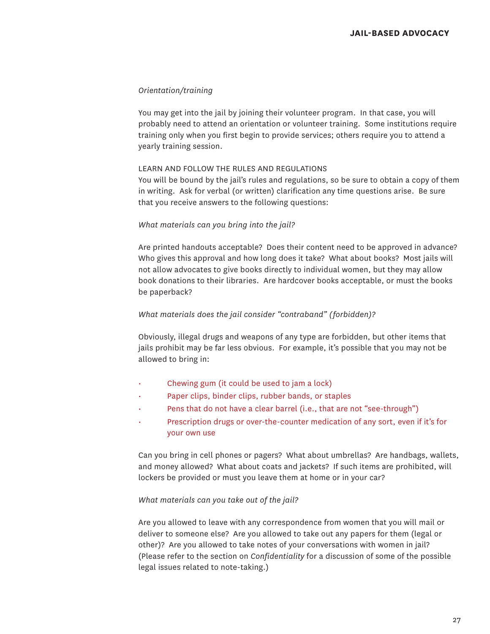#### *Orientation/training*

You may get into the jail by joining their volunteer program. In that case, you will probably need to attend an orientation or volunteer training. Some institutions require training only when you first begin to provide services; others require you to attend a yearly training session.

#### learn and follow the rules and regulations

You will be bound by the jail's rules and regulations, so be sure to obtain a copy of them in writing. Ask for verbal (or written) clarification any time questions arise. Be sure that you receive answers to the following questions:

#### *What materials can you bring into the jail?*

Are printed handouts acceptable? Does their content need to be approved in advance? Who gives this approval and how long does it take? What about books? Most jails will not allow advocates to give books directly to individual women, but they may allow book donations to their libraries. Are hardcover books acceptable, or must the books be paperback?

#### *What materials does the jail consider "contraband" (forbidden)?*

Obviously, illegal drugs and weapons of any type are forbidden, but other items that jails prohibit may be far less obvious. For example, it's possible that you may not be allowed to bring in:

- Chewing gum (it could be used to jam a lock)
- Paper clips, binder clips, rubber bands, or staples
- Pens that do not have a clear barrel (i.e., that are not "see-through")
- Prescription drugs or over-the-counter medication of any sort, even if it's for your own use

Can you bring in cell phones or pagers? What about umbrellas? Are handbags, wallets, and money allowed? What about coats and jackets? If such items are prohibited, will lockers be provided or must you leave them at home or in your car?

#### *What materials can you take out of the jail?*

Are you allowed to leave with any correspondence from women that you will mail or deliver to someone else? Are you allowed to take out any papers for them (legal or other)? Are you allowed to take notes of your conversations with women in jail? (Please refer to the section on *Confidentiality* for a discussion of some of the possible legal issues related to note-taking.)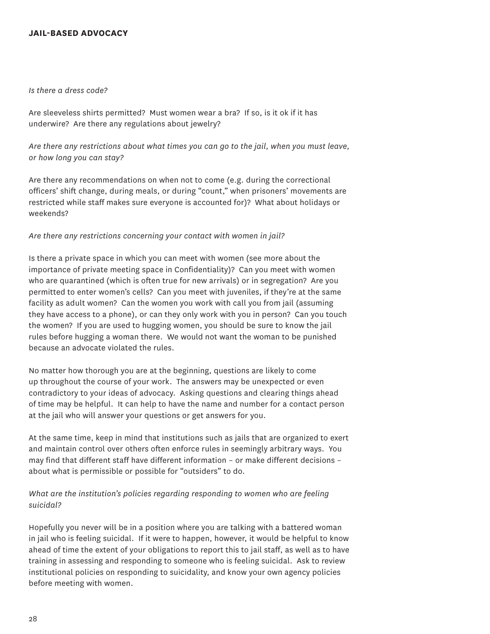#### **jail-based advocacy**

#### *Is there a dress code?*

Are sleeveless shirts permitted? Must women wear a bra? If so, is it ok if it has underwire? Are there any regulations about jewelry?

*Are there any restrictions about what times you can go to the jail, when you must leave, or how long you can stay?*

Are there any recommendations on when not to come (e.g. during the correctional officers' shift change, during meals, or during "count," when prisoners' movements are restricted while staff makes sure everyone is accounted for)? What about holidays or weekends?

#### *Are there any restrictions concerning your contact with women in jail?*

Is there a private space in which you can meet with women (see more about the importance of private meeting space in Confidentiality)? Can you meet with women who are quarantined (which is often true for new arrivals) or in segregation? Are you permitted to enter women's cells? Can you meet with juveniles, if they're at the same facility as adult women? Can the women you work with call you from jail (assuming they have access to a phone), or can they only work with you in person? Can you touch the women? If you are used to hugging women, you should be sure to know the jail rules before hugging a woman there. We would not want the woman to be punished because an advocate violated the rules.

No matter how thorough you are at the beginning, questions are likely to come up throughout the course of your work. The answers may be unexpected or even contradictory to your ideas of advocacy. Asking questions and clearing things ahead of time may be helpful. It can help to have the name and number for a contact person at the jail who will answer your questions or get answers for you.

At the same time, keep in mind that institutions such as jails that are organized to exert and maintain control over others often enforce rules in seemingly arbitrary ways. You may find that different staff have different information – or make different decisions – about what is permissible or possible for "outsiders" to do.

#### *What are the institution's policies regarding responding to women who are feeling suicidal?*

Hopefully you never will be in a position where you are talking with a battered woman in jail who is feeling suicidal. If it were to happen, however, it would be helpful to know ahead of time the extent of your obligations to report this to jail staff, as well as to have training in assessing and responding to someone who is feeling suicidal. Ask to review institutional policies on responding to suicidality, and know your own agency policies before meeting with women.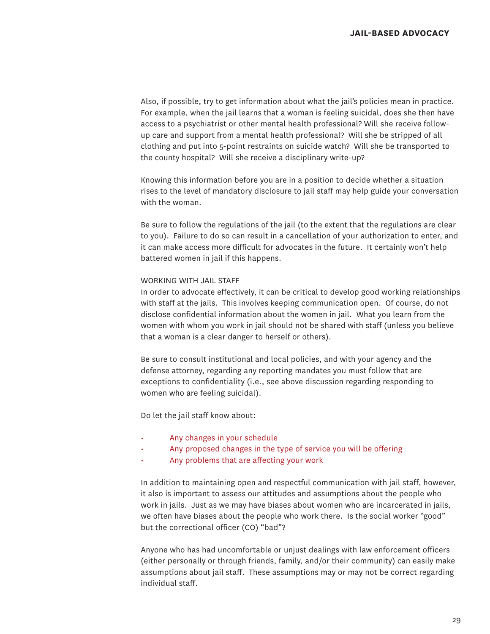Also, if possible, try to get information about what the jail's policies mean in practice. For example, when the jail learns that a woman is feeling suicidal, does she then have access to a psychiatrist or other mental health professional? Will she receive followup care and support from a mental health professional? Will she be stripped of all clothing and put into 5-point restraints on suicide watch? Will she be transported to the county hospital? Will she receive a disciplinary write-up?

Knowing this information before you are in a position to decide whether a situation rises to the level of mandatory disclosure to jail staff may help guide your conversation with the woman.

Be sure to follow the regulations of the jail (to the extent that the regulations are clear to you). Failure to do so can result in a cancellation of your authorization to enter, and it can make access more difficult for advocates in the future. It certainly won't help battered women in jail if this happens.

#### Working with Jail Staff

In order to advocate effectively, it can be critical to develop good working relationships with staff at the jails. This involves keeping communication open. Of course, do not disclose confidential information about the women in jail. What you learn from the women with whom you work in jail should not be shared with staff (unless you believe that a woman is a clear danger to herself or others).

Be sure to consult institutional and local policies, and with your agency and the defense attorney, regarding any reporting mandates you must follow that are exceptions to confidentiality (i.e., see above discussion regarding responding to women who are feeling suicidal).

Do let the jail staff know about:

- Any changes in your schedule
- Any proposed changes in the type of service you will be offering
- Any problems that are affecting your work

In addition to maintaining open and respectful communication with jail staff, however, it also is important to assess our attitudes and assumptions about the people who work in jails. Just as we may have biases about women who are incarcerated in jails, we often have biases about the people who work there. Is the social worker "good" but the correctional officer (CO) "bad"?

Anyone who has had uncomfortable or unjust dealings with law enforcement officers (either personally or through friends, family, and/or their community) can easily make assumptions about jail staff. These assumptions may or may not be correct regarding individual staff.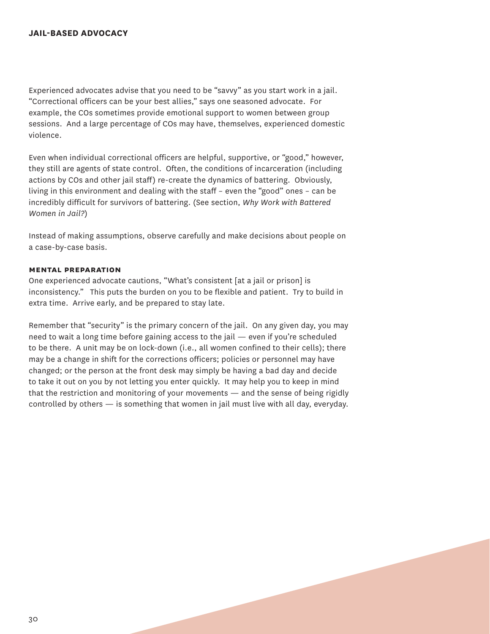Experienced advocates advise that you need to be "savvy" as you start work in a jail. "Correctional officers can be your best allies," says one seasoned advocate. For example, the COs sometimes provide emotional support to women between group sessions. And a large percentage of COs may have, themselves, experienced domestic violence.

Even when individual correctional officers are helpful, supportive, or "good," however, they still are agents of state control. Often, the conditions of incarceration (including actions by COs and other jail staff) re-create the dynamics of battering. Obviously, living in this environment and dealing with the staff – even the "good" ones – can be incredibly difficult for survivors of battering. (See section, *Why Work with Battered Women in Jail?*)

Instead of making assumptions, observe carefully and make decisions about people on a case-by-case basis.

### **mental preparation**

One experienced advocate cautions, "What's consistent [at a jail or prison] is inconsistency." This puts the burden on you to be flexible and patient. Try to build in extra time. Arrive early, and be prepared to stay late.

Remember that "security" is the primary concern of the jail. On any given day, you may need to wait a long time before gaining access to the jail — even if you're scheduled to be there. A unit may be on lock-down (i.e., all women confined to their cells); there may be a change in shift for the corrections officers; policies or personnel may have changed; or the person at the front desk may simply be having a bad day and decide to take it out on you by not letting you enter quickly. It may help you to keep in mind that the restriction and monitoring of your movements — and the sense of being rigidly controlled by others — is something that women in jail must live with all day, everyday.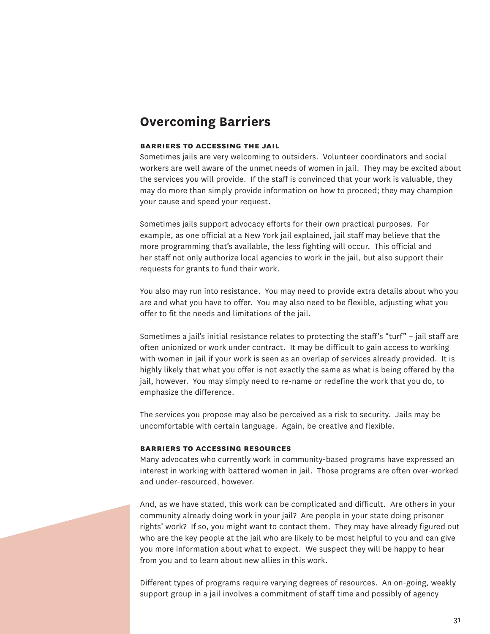## **Overcoming Barriers**

## **barriers to accessing the jail**

Sometimes jails are very welcoming to outsiders. Volunteer coordinators and social workers are well aware of the unmet needs of women in jail. They may be excited about the services you will provide. If the staff is convinced that your work is valuable, they may do more than simply provide information on how to proceed; they may champion your cause and speed your request.

Sometimes jails support advocacy efforts for their own practical purposes. For example, as one official at a New York jail explained, jail staff may believe that the more programming that's available, the less fighting will occur. This official and her staff not only authorize local agencies to work in the jail, but also support their requests for grants to fund their work.

You also may run into resistance. You may need to provide extra details about who you are and what you have to offer. You may also need to be flexible, adjusting what you offer to fit the needs and limitations of the jail.

Sometimes a jail's initial resistance relates to protecting the staff's "turf" – jail staff are often unionized or work under contract. It may be difficult to gain access to working with women in jail if your work is seen as an overlap of services already provided. It is highly likely that what you offer is not exactly the same as what is being offered by the jail, however. You may simply need to re-name or redefine the work that you do, to emphasize the difference.

The services you propose may also be perceived as a risk to security. Jails may be uncomfortable with certain language. Again, be creative and flexible.

#### **barriers to accessing resources**

Many advocates who currently work in community-based programs have expressed an interest in working with battered women in jail. Those programs are often over-worked and under-resourced, however.

And, as we have stated, this work can be complicated and difficult. Are others in your community already doing work in your jail? Are people in your state doing prisoner rights' work? If so, you might want to contact them. They may have already figured out who are the key people at the jail who are likely to be most helpful to you and can give you more information about what to expect. We suspect they will be happy to hear from you and to learn about new allies in this work.

Different types of programs require varying degrees of resources. An on-going, weekly support group in a jail involves a commitment of staff time and possibly of agency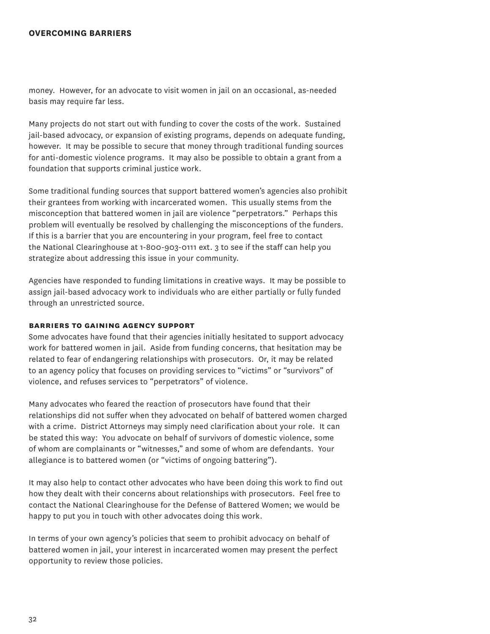## **overcoming barriers**

money. However, for an advocate to visit women in jail on an occasional, as-needed basis may require far less.

Many projects do not start out with funding to cover the costs of the work. Sustained jail-based advocacy, or expansion of existing programs, depends on adequate funding, however. It may be possible to secure that money through traditional funding sources for anti-domestic violence programs. It may also be possible to obtain a grant from a foundation that supports criminal justice work.

Some traditional funding sources that support battered women's agencies also prohibit their grantees from working with incarcerated women. This usually stems from the misconception that battered women in jail are violence "perpetrators." Perhaps this problem will eventually be resolved by challenging the misconceptions of the funders. If this is a barrier that you are encountering in your program, feel free to contact the National Clearinghouse at 1-800-903-0111 ext. 3 to see if the staff can help you strategize about addressing this issue in your community.

Agencies have responded to funding limitations in creative ways. It may be possible to assign jail-based advocacy work to individuals who are either partially or fully funded through an unrestricted source.

#### **barriers to gaining agency support**

Some advocates have found that their agencies initially hesitated to support advocacy work for battered women in jail. Aside from funding concerns, that hesitation may be related to fear of endangering relationships with prosecutors. Or, it may be related to an agency policy that focuses on providing services to "victims" or "survivors" of violence, and refuses services to "perpetrators" of violence.

Many advocates who feared the reaction of prosecutors have found that their relationships did not suffer when they advocated on behalf of battered women charged with a crime. District Attorneys may simply need clarification about your role. It can be stated this way: You advocate on behalf of survivors of domestic violence, some of whom are complainants or "witnesses," and some of whom are defendants. Your allegiance is to battered women (or "victims of ongoing battering").

It may also help to contact other advocates who have been doing this work to find out how they dealt with their concerns about relationships with prosecutors. Feel free to contact the National Clearinghouse for the Defense of Battered Women; we would be happy to put you in touch with other advocates doing this work.

In terms of your own agency's policies that seem to prohibit advocacy on behalf of battered women in jail, your interest in incarcerated women may present the perfect opportunity to review those policies.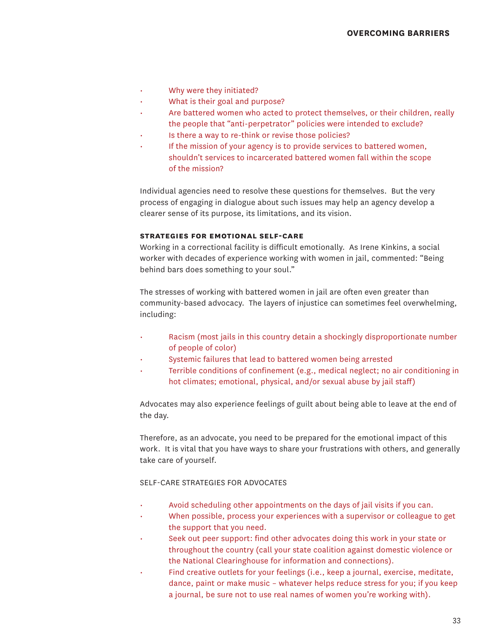- Why were they initiated?
- What is their goal and purpose?
- Are battered women who acted to protect themselves, or their children, really the people that "anti-perpetrator" policies were intended to exclude?
- Is there a way to re-think or revise those policies?
- If the mission of your agency is to provide services to battered women, shouldn't services to incarcerated battered women fall within the scope of the mission?

Individual agencies need to resolve these questions for themselves. But the very process of engaging in dialogue about such issues may help an agency develop a clearer sense of its purpose, its limitations, and its vision.

### **strategies for emotional self-care**

Working in a correctional facility is difficult emotionally. As Irene Kinkins, a social worker with decades of experience working with women in jail, commented: "Being behind bars does something to your soul."

The stresses of working with battered women in jail are often even greater than community-based advocacy. The layers of injustice can sometimes feel overwhelming, including:

- Racism (most jails in this country detain a shockingly disproportionate number of people of color)
- Systemic failures that lead to battered women being arrested
- Terrible conditions of confinement (e.g., medical neglect; no air conditioning in hot climates; emotional, physical, and/or sexual abuse by jail staff)

Advocates may also experience feelings of guilt about being able to leave at the end of the day.

Therefore, as an advocate, you need to be prepared for the emotional impact of this work. It is vital that you have ways to share your frustrations with others, and generally take care of yourself.

## Self-care strategies for advocates

- Avoid scheduling other appointments on the days of jail visits if you can.
- When possible, process your experiences with a supervisor or colleague to get the support that you need.
- Seek out peer support: find other advocates doing this work in your state or throughout the country (call your state coalition against domestic violence or the National Clearinghouse for information and connections).
- Find creative outlets for your feelings (i.e., keep a journal, exercise, meditate, dance, paint or make music – whatever helps reduce stress for you; if you keep a journal, be sure not to use real names of women you're working with).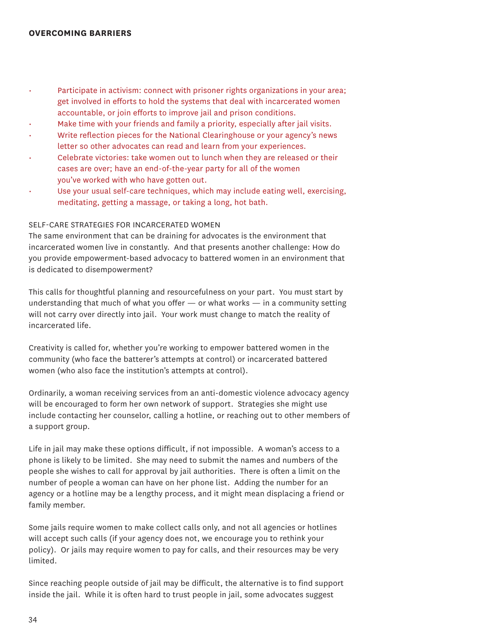- Participate in activism: connect with prisoner rights organizations in your area; get involved in efforts to hold the systems that deal with incarcerated women accountable, or join efforts to improve jail and prison conditions.
- Make time with your friends and family a priority, especially after jail visits.
- Write reflection pieces for the National Clearinghouse or your agency's news letter so other advocates can read and learn from your experiences.
- Celebrate victories: take women out to lunch when they are released or their cases are over; have an end-of-the-year party for all of the women you've worked with who have gotten out.
- Use your usual self-care techniques, which may include eating well, exercising, meditating, getting a massage, or taking a long, hot bath.

## Self-care strategies for incarcerated women

The same environment that can be draining for advocates is the environment that incarcerated women live in constantly. And that presents another challenge: How do you provide empowerment-based advocacy to battered women in an environment that is dedicated to disempowerment?

This calls for thoughtful planning and resourcefulness on your part. You must start by understanding that much of what you offer  $-$  or what works  $-$  in a community setting will not carry over directly into jail. Your work must change to match the reality of incarcerated life.

Creativity is called for, whether you're working to empower battered women in the community (who face the batterer's attempts at control) or incarcerated battered women (who also face the institution's attempts at control).

Ordinarily, a woman receiving services from an anti-domestic violence advocacy agency will be encouraged to form her own network of support. Strategies she might use include contacting her counselor, calling a hotline, or reaching out to other members of a support group.

Life in jail may make these options difficult, if not impossible. A woman's access to a phone is likely to be limited. She may need to submit the names and numbers of the people she wishes to call for approval by jail authorities. There is often a limit on the number of people a woman can have on her phone list. Adding the number for an agency or a hotline may be a lengthy process, and it might mean displacing a friend or family member.

Some jails require women to make collect calls only, and not all agencies or hotlines will accept such calls (if your agency does not, we encourage you to rethink your policy). Or jails may require women to pay for calls, and their resources may be very limited.

Since reaching people outside of jail may be difficult, the alternative is to find support inside the jail. While it is often hard to trust people in jail, some advocates suggest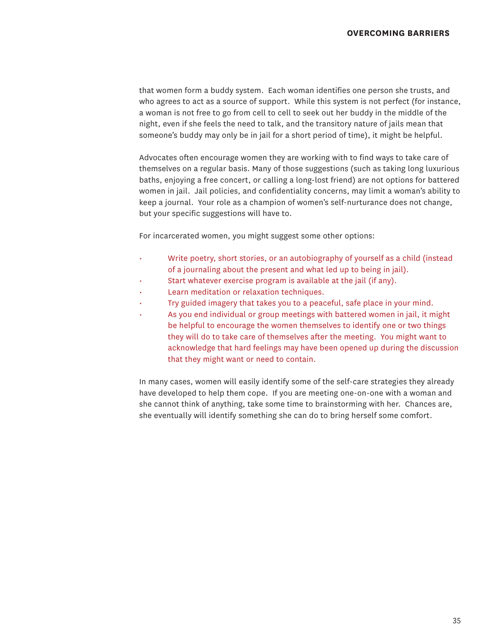that women form a buddy system. Each woman identifies one person she trusts, and who agrees to act as a source of support. While this system is not perfect (for instance, a woman is not free to go from cell to cell to seek out her buddy in the middle of the night, even if she feels the need to talk, and the transitory nature of jails mean that someone's buddy may only be in jail for a short period of time), it might be helpful.

Advocates often encourage women they are working with to find ways to take care of themselves on a regular basis. Many of those suggestions (such as taking long luxurious baths, enjoying a free concert, or calling a long-lost friend) are not options for battered women in jail. Jail policies, and confidentiality concerns, may limit a woman's ability to keep a journal. Your role as a champion of women's self-nurturance does not change, but your specific suggestions will have to.

For incarcerated women, you might suggest some other options:

- Write poetry, short stories, or an autobiography of yourself as a child (instead of a journaling about the present and what led up to being in jail).
- Start whatever exercise program is available at the jail (if any).
- Learn meditation or relaxation techniques.
- Try guided imagery that takes you to a peaceful, safe place in your mind.
- As you end individual or group meetings with battered women in jail, it might be helpful to encourage the women themselves to identify one or two things they will do to take care of themselves after the meeting. You might want to acknowledge that hard feelings may have been opened up during the discussion that they might want or need to contain.

In many cases, women will easily identify some of the self-care strategies they already have developed to help them cope. If you are meeting one-on-one with a woman and she cannot think of anything, take some time to brainstorming with her. Chances are, she eventually will identify something she can do to bring herself some comfort.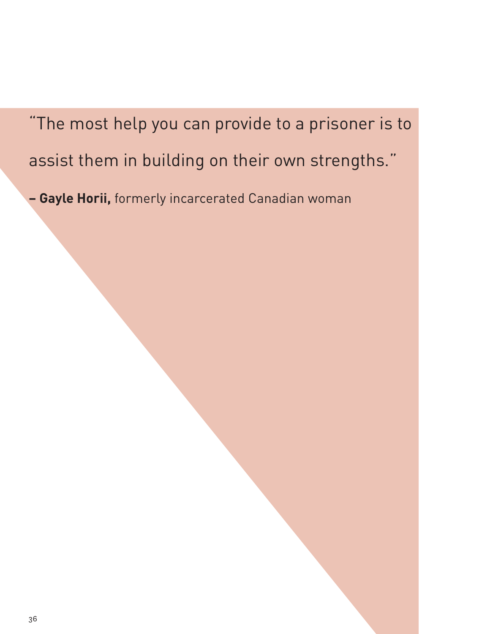"The most help you can provide to a prisoner is to assist them in building on their own strengths."

**– Gayle Horii,** formerly incarcerated Canadian woman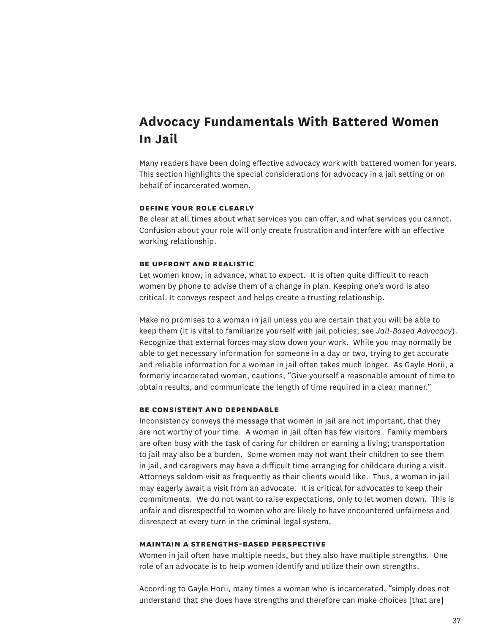# **Advocacy Fundamentals With Battered Women In Jail**

Many readers have been doing effective advocacy work with battered women for years. This section highlights the special considerations for advocacy in a jail setting or on behalf of incarcerated women.

### **define your role clearly**

Be clear at all times about what services you can offer, and what services you cannot. Confusion about your role will only create frustration and interfere with an effective working relationship.

## **be upfront and realistic**

Let women know, in advance, what to expect. It is often quite difficult to reach women by phone to advise them of a change in plan. Keeping one's word is also critical. It conveys respect and helps create a trusting relationship.

Make no promises to a woman in jail unless you are certain that you will be able to keep them (it is vital to familiarize yourself with jail policies; see *Jail-Based Advocacy*). Recognize that external forces may slow down your work. While you may normally be able to get necessary information for someone in a day or two, trying to get accurate and reliable information for a woman in jail often takes much longer. As Gayle Horii, a formerly incarcerated woman, cautions, "Give yourself a reasonable amount of time to obtain results, and communicate the length of time required in a clear manner."

#### **be consistent and dependable**

Inconsistency conveys the message that women in jail are not important, that they are not worthy of your time. A woman in jail often has few visitors. Family members are often busy with the task of caring for children or earning a living; transportation to jail may also be a burden. Some women may not want their children to see them in jail, and caregivers may have a difficult time arranging for childcare during a visit. Attorneys seldom visit as frequently as their clients would like. Thus, a woman in jail may eagerly await a visit from an advocate. It is critical for advocates to keep their commitments. We do not want to raise expectations, only to let women down. This is unfair and disrespectful to women who are likely to have encountered unfairness and disrespect at every turn in the criminal legal system.

#### **maintain a strengths-based perspective**

Women in jail often have multiple needs, but they also have multiple strengths. One role of an advocate is to help women identify and utilize their own strengths.

According to Gayle Horii, many times a woman who is incarcerated, "simply does not understand that she does have strengths and therefore can make choices [that are]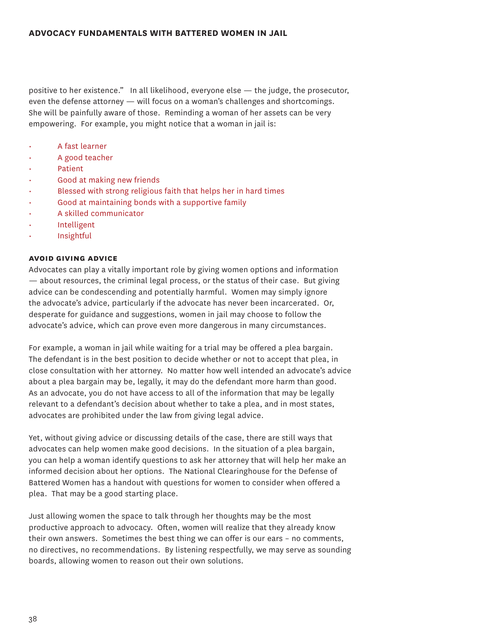positive to her existence." In all likelihood, everyone else — the judge, the prosecutor, even the defense attorney — will focus on a woman's challenges and shortcomings. She will be painfully aware of those. Reminding a woman of her assets can be very empowering. For example, you might notice that a woman in jail is:

- A fast learner
- A good teacher
- Patient
- Good at making new friends
- Blessed with strong religious faith that helps her in hard times
- Good at maintaining bonds with a supportive family
- A skilled communicator
- **Intelligent**
- **Insightful**

#### **avoid giving advice**

Advocates can play a vitally important role by giving women options and information — about resources, the criminal legal process, or the status of their case. But giving advice can be condescending and potentially harmful. Women may simply ignore the advocate's advice, particularly if the advocate has never been incarcerated. Or, desperate for guidance and suggestions, women in jail may choose to follow the advocate's advice, which can prove even more dangerous in many circumstances.

For example, a woman in jail while waiting for a trial may be offered a plea bargain. The defendant is in the best position to decide whether or not to accept that plea, in close consultation with her attorney. No matter how well intended an advocate's advice about a plea bargain may be, legally, it may do the defendant more harm than good. As an advocate, you do not have access to all of the information that may be legally relevant to a defendant's decision about whether to take a plea, and in most states, advocates are prohibited under the law from giving legal advice.

Yet, without giving advice or discussing details of the case, there are still ways that advocates can help women make good decisions. In the situation of a plea bargain, you can help a woman identify questions to ask her attorney that will help her make an informed decision about her options. The National Clearinghouse for the Defense of Battered Women has a handout with questions for women to consider when offered a plea. That may be a good starting place.

Just allowing women the space to talk through her thoughts may be the most productive approach to advocacy. Often, women will realize that they already know their own answers. Sometimes the best thing we can offer is our ears – no comments, no directives, no recommendations. By listening respectfully, we may serve as sounding boards, allowing women to reason out their own solutions.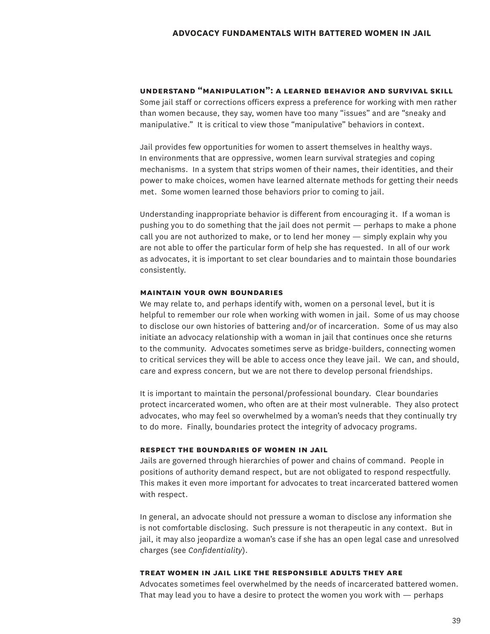## **understand "manipulation": a learned behavior and survival skill**

Some jail staff or corrections officers express a preference for working with men rather than women because, they say, women have too many "issues" and are "sneaky and manipulative." It is critical to view those "manipulative" behaviors in context.

Jail provides few opportunities for women to assert themselves in healthy ways. In environments that are oppressive, women learn survival strategies and coping mechanisms. In a system that strips women of their names, their identities, and their power to make choices, women have learned alternate methods for getting their needs met. Some women learned those behaviors prior to coming to jail.

Understanding inappropriate behavior is different from encouraging it. If a woman is pushing you to do something that the jail does not permit — perhaps to make a phone call you are not authorized to make, or to lend her money — simply explain why you are not able to offer the particular form of help she has requested. In all of our work as advocates, it is important to set clear boundaries and to maintain those boundaries consistently.

## **maintain your own boundaries**

We may relate to, and perhaps identify with, women on a personal level, but it is helpful to remember our role when working with women in jail. Some of us may choose to disclose our own histories of battering and/or of incarceration. Some of us may also initiate an advocacy relationship with a woman in jail that continues once she returns to the community. Advocates sometimes serve as bridge-builders, connecting women to critical services they will be able to access once they leave jail. We can, and should, care and express concern, but we are not there to develop personal friendships.

It is important to maintain the personal/professional boundary. Clear boundaries protect incarcerated women, who often are at their most vulnerable. They also protect advocates, who may feel so overwhelmed by a woman's needs that they continually try to do more. Finally, boundaries protect the integrity of advocacy programs.

## **respect the boundaries of women in jail**

Jails are governed through hierarchies of power and chains of command. People in positions of authority demand respect, but are not obligated to respond respectfully. This makes it even more important for advocates to treat incarcerated battered women with respect.

In general, an advocate should not pressure a woman to disclose any information she is not comfortable disclosing. Such pressure is not therapeutic in any context. But in jail, it may also jeopardize a woman's case if she has an open legal case and unresolved charges (see *Confidentiality*).

#### **treat women in jail like the responsible adults they are**

Advocates sometimes feel overwhelmed by the needs of incarcerated battered women. That may lead you to have a desire to protect the women you work with — perhaps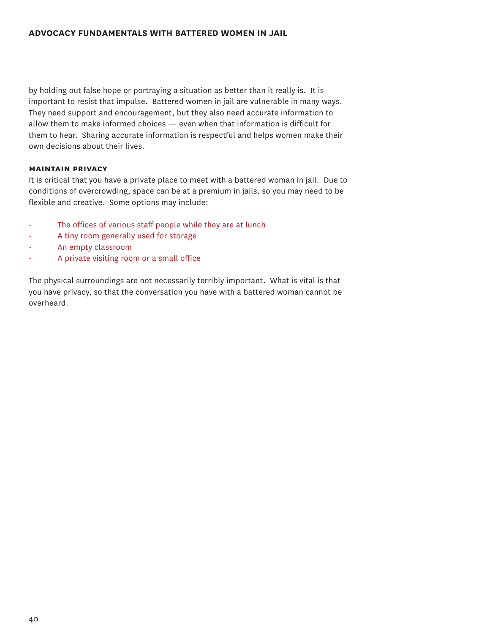## **Advocacy Fundamentals With Battered Women In Jail**

by holding out false hope or portraying a situation as better than it really is. It is important to resist that impulse. Battered women in jail are vulnerable in many ways. They need support and encouragement, but they also need accurate information to allow them to make informed choices — even when that information is difficult for them to hear. Sharing accurate information is respectful and helps women make their own decisions about their lives.

## **maintain privacy**

It is critical that you have a private place to meet with a battered woman in jail. Due to conditions of overcrowding, space can be at a premium in jails, so you may need to be flexible and creative. Some options may include:

- The offices of various staff people while they are at lunch
- A tiny room generally used for storage
- An empty classroom
- A private visiting room or a small office

The physical surroundings are not necessarily terribly important. What is vital is that you have privacy, so that the conversation you have with a battered woman cannot be overheard.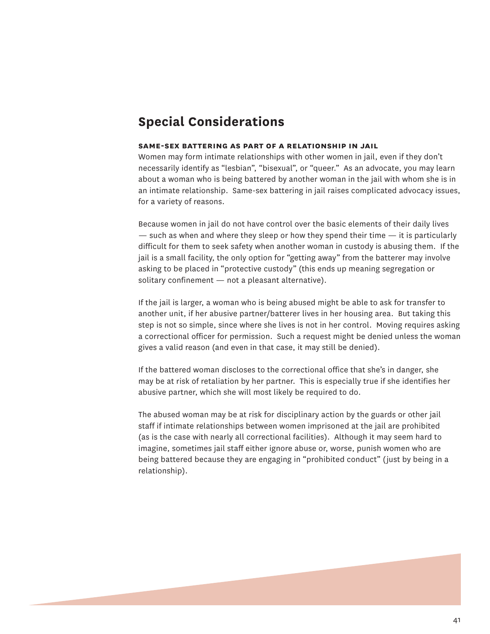## **Special Considerations**

#### **same-sex battering as part of a relationship in jail**

Women may form intimate relationships with other women in jail, even if they don't necessarily identify as "lesbian", "bisexual", or "queer." As an advocate, you may learn about a woman who is being battered by another woman in the jail with whom she is in an intimate relationship. Same-sex battering in jail raises complicated advocacy issues, for a variety of reasons.

Because women in jail do not have control over the basic elements of their daily lives  $-$  such as when and where they sleep or how they spend their time  $-$  it is particularly difficult for them to seek safety when another woman in custody is abusing them. If the jail is a small facility, the only option for "getting away" from the batterer may involve asking to be placed in "protective custody" (this ends up meaning segregation or solitary confinement — not a pleasant alternative).

If the jail is larger, a woman who is being abused might be able to ask for transfer to another unit, if her abusive partner/batterer lives in her housing area. But taking this step is not so simple, since where she lives is not in her control. Moving requires asking a correctional officer for permission. Such a request might be denied unless the woman gives a valid reason (and even in that case, it may still be denied).

If the battered woman discloses to the correctional office that she's in danger, she may be at risk of retaliation by her partner. This is especially true if she identifies her abusive partner, which she will most likely be required to do.

The abused woman may be at risk for disciplinary action by the guards or other jail staff if intimate relationships between women imprisoned at the jail are prohibited (as is the case with nearly all correctional facilities). Although it may seem hard to imagine, sometimes jail staff either ignore abuse or, worse, punish women who are being battered because they are engaging in "prohibited conduct" (just by being in a relationship).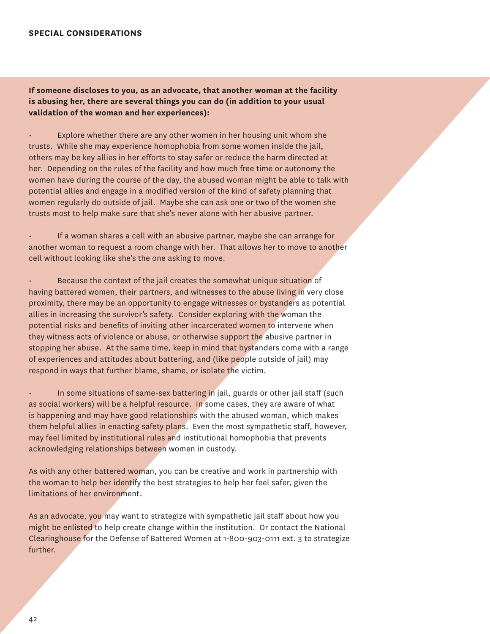## **special considerations**

## **If someone discloses to you, as an advocate, that another woman at the facility is abusing her, there are several things you can do (in addition to your usual validation of the woman and her experiences):**

Explore whether there are any other women in her housing unit whom she trusts. While she may experience homophobia from some women inside the jail, others may be key allies in her efforts to stay safer or reduce the harm directed at her. Depending on the rules of the facility and how much free time or autonomy the women have during the course of the day, the abused woman might be able to talk with potential allies and engage in a modified version of the kind of safety planning that women regularly do outside of jail. Maybe she can ask one or two of the women she trusts most to help make sure that she's never alone with her abusive partner.

• If a woman shares a cell with an abusive partner, maybe she can arrange for another woman to request a room change with her. That allows her to move to another cell without looking like she's the one asking to move.

• Because the context of the jail creates the somewhat unique situation of having battered women, their partners, and witnesses to the abuse living in very close proximity, there may be an opportunity to engage witnesses or bystanders as potential allies in increasing the survivor's safety. Consider exploring with the woman the potential risks and benefits of inviting other incarcerated women to intervene when they witness acts of violence or abuse, or otherwise support the abusive partner in stopping her abuse. At the same time, keep in mind that bystanders come with a range of experiences and attitudes about battering, and (like people outside of jail) may respond in ways that further blame, shame, or isolate the victim.

In some situations of same-sex battering in jail, guards or other jail staff (such as social workers) will be a helpful resource. In some cases, they are aware of what is happening and may have good relationships with the abused woman, which makes them helpful allies in enacting safety plans. Even the most sympathetic staff, however, may feel limited by institutional rules and institutional homophobia that prevents acknowledging relationships between women in custody.

As with any other battered woman, you can be creative and work in partnership with the woman to help her identify the best strategies to help her feel safer, given the limitations of her environment.

As an advocate, you may want to strategize with sympathetic jail staff about how you might be enlisted to help create change within the institution. Or contact the National Clearinghouse for the Defense of Battered Women at 1-800-903-0111 ext. 3 to strategize further.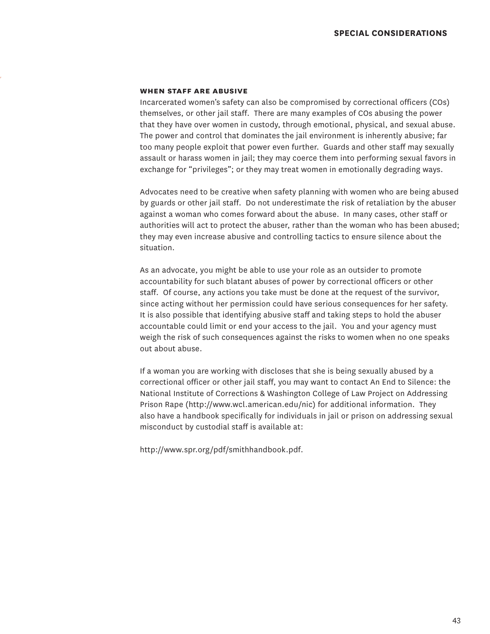#### **when staff are abusive**

Incarcerated women's safety can also be compromised by correctional officers (COs) themselves, or other jail staff. There are many examples of COs abusing the power that they have over women in custody, through emotional, physical, and sexual abuse. The power and control that dominates the jail environment is inherently abusive; far too many people exploit that power even further. Guards and other staff may sexually assault or harass women in jail; they may coerce them into performing sexual favors in exchange for "privileges"; or they may treat women in emotionally degrading ways.

Advocates need to be creative when safety planning with women who are being abused by guards or other jail staff. Do not underestimate the risk of retaliation by the abuser against a woman who comes forward about the abuse. In many cases, other staff or authorities will act to protect the abuser, rather than the woman who has been abused; they may even increase abusive and controlling tactics to ensure silence about the situation.

As an advocate, you might be able to use your role as an outsider to promote accountability for such blatant abuses of power by correctional officers or other staff. Of course, any actions you take must be done at the request of the survivor, since acting without her permission could have serious consequences for her safety. It is also possible that identifying abusive staff and taking steps to hold the abuser accountable could limit or end your access to the jail. You and your agency must weigh the risk of such consequences against the risks to women when no one speaks out about abuse.

If a woman you are working with discloses that she is being sexually abused by a correctional officer or other jail staff, you may want to contact An End to Silence: the National Institute of Corrections & Washington College of Law Project on Addressing Prison Rape (http://www.wcl.american.edu/nic) for additional information. They also have a handbook specifically for individuals in jail or prison on addressing sexual misconduct by custodial staff is available at:

http://www.spr.org/pdf/smithhandbook.pdf.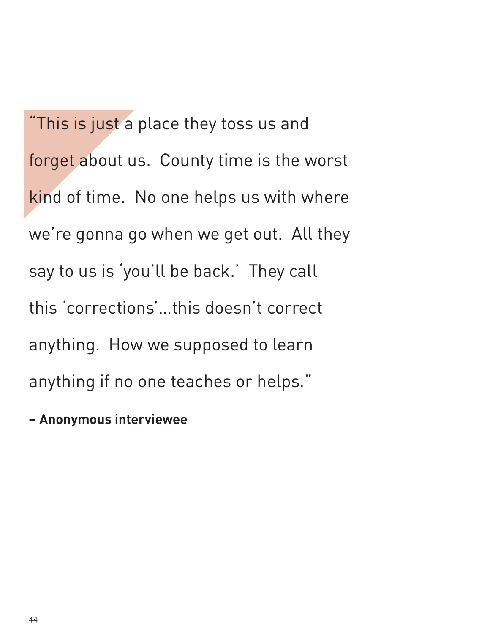"This is just a place they toss us and forget about us. County time is the worst kind of time. No one helps us with where we're gonna go when we get out. All they say to us is 'you'll be back.' They call this 'corrections'…this doesn't correct anything. How we supposed to learn anything if no one teaches or helps."

# **– Anonymous interviewee**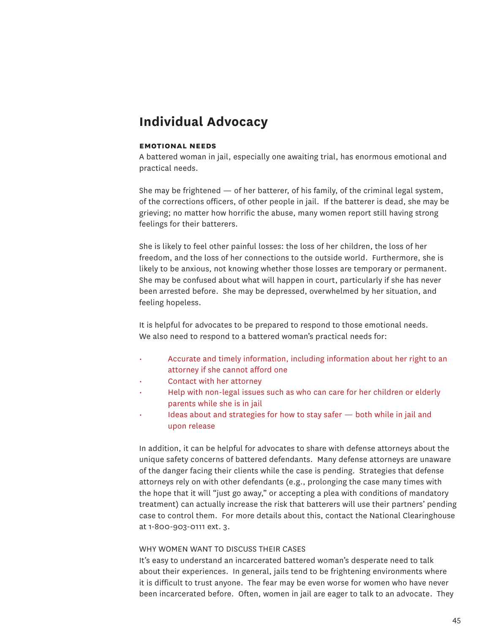## **Individual Advocacy**

#### **emotional needs**

A battered woman in jail, especially one awaiting trial, has enormous emotional and practical needs.

She may be frightened — of her batterer, of his family, of the criminal legal system, of the corrections officers, of other people in jail. If the batterer is dead, she may be grieving; no matter how horrific the abuse, many women report still having strong feelings for their batterers.

She is likely to feel other painful losses: the loss of her children, the loss of her freedom, and the loss of her connections to the outside world. Furthermore, she is likely to be anxious, not knowing whether those losses are temporary or permanent. She may be confused about what will happen in court, particularly if she has never been arrested before. She may be depressed, overwhelmed by her situation, and feeling hopeless.

It is helpful for advocates to be prepared to respond to those emotional needs. We also need to respond to a battered woman's practical needs for:

- Accurate and timely information, including information about her right to an attorney if she cannot afford one
- Contact with her attorney
- Help with non-legal issues such as who can care for her children or elderly parents while she is in jail
- Ideas about and strategies for how to stay safer both while in jail and upon release

In addition, it can be helpful for advocates to share with defense attorneys about the unique safety concerns of battered defendants. Many defense attorneys are unaware of the danger facing their clients while the case is pending. Strategies that defense attorneys rely on with other defendants (e.g., prolonging the case many times with the hope that it will "just go away," or accepting a plea with conditions of mandatory treatment) can actually increase the risk that batterers will use their partners' pending case to control them. For more details about this, contact the National Clearinghouse at 1-800-903-0111 ext. 3.

#### Why women want to discuss their cases

It's easy to understand an incarcerated battered woman's desperate need to talk about their experiences. In general, jails tend to be frightening environments where it is difficult to trust anyone. The fear may be even worse for women who have never been incarcerated before. Often, women in jail are eager to talk to an advocate. They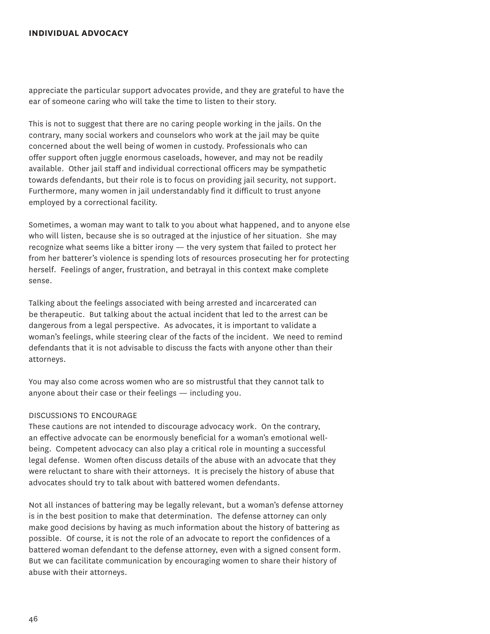## **individual advocacy**

appreciate the particular support advocates provide, and they are grateful to have the ear of someone caring who will take the time to listen to their story.

This is not to suggest that there are no caring people working in the jails. On the contrary, many social workers and counselors who work at the jail may be quite concerned about the well being of women in custody. Professionals who can offer support often juggle enormous caseloads, however, and may not be readily available. Other jail staff and individual correctional officers may be sympathetic towards defendants, but their role is to focus on providing jail security, not support. Furthermore, many women in jail understandably find it difficult to trust anyone employed by a correctional facility.

Sometimes, a woman may want to talk to you about what happened, and to anyone else who will listen, because she is so outraged at the injustice of her situation. She may recognize what seems like a bitter irony — the very system that failed to protect her from her batterer's violence is spending lots of resources prosecuting her for protecting herself. Feelings of anger, frustration, and betrayal in this context make complete sense.

Talking about the feelings associated with being arrested and incarcerated can be therapeutic. But talking about the actual incident that led to the arrest can be dangerous from a legal perspective. As advocates, it is important to validate a woman's feelings, while steering clear of the facts of the incident. We need to remind defendants that it is not advisable to discuss the facts with anyone other than their attorneys.

You may also come across women who are so mistrustful that they cannot talk to anyone about their case or their feelings — including you.

## Discussions to Encourage

These cautions are not intended to discourage advocacy work. On the contrary, an effective advocate can be enormously beneficial for a woman's emotional wellbeing. Competent advocacy can also play a critical role in mounting a successful legal defense. Women often discuss details of the abuse with an advocate that they were reluctant to share with their attorneys. It is precisely the history of abuse that advocates should try to talk about with battered women defendants.

Not all instances of battering may be legally relevant, but a woman's defense attorney is in the best position to make that determination. The defense attorney can only make good decisions by having as much information about the history of battering as possible. Of course, it is not the role of an advocate to report the confidences of a battered woman defendant to the defense attorney, even with a signed consent form. But we can facilitate communication by encouraging women to share their history of abuse with their attorneys.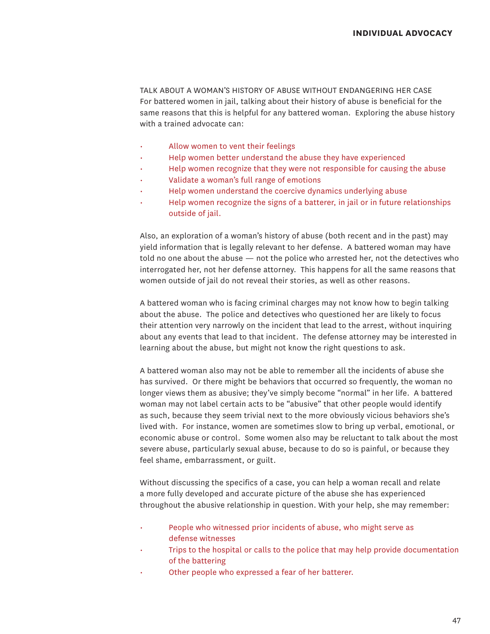Talk about a woman's history of abuse without endangering her case For battered women in jail, talking about their history of abuse is beneficial for the same reasons that this is helpful for any battered woman. Exploring the abuse history with a trained advocate can:

- Allow women to vent their feelings
- Help women better understand the abuse they have experienced
- Help women recognize that they were not responsible for causing the abuse
- Validate a woman's full range of emotions
- Help women understand the coercive dynamics underlying abuse
- Help women recognize the signs of a batterer, in jail or in future relationships outside of jail.

Also, an exploration of a woman's history of abuse (both recent and in the past) may yield information that is legally relevant to her defense. A battered woman may have told no one about the abuse — not the police who arrested her, not the detectives who interrogated her, not her defense attorney. This happens for all the same reasons that women outside of jail do not reveal their stories, as well as other reasons.

A battered woman who is facing criminal charges may not know how to begin talking about the abuse. The police and detectives who questioned her are likely to focus their attention very narrowly on the incident that lead to the arrest, without inquiring about any events that lead to that incident. The defense attorney may be interested in learning about the abuse, but might not know the right questions to ask.

A battered woman also may not be able to remember all the incidents of abuse she has survived. Or there might be behaviors that occurred so frequently, the woman no longer views them as abusive; they've simply become "normal" in her life. A battered woman may not label certain acts to be "abusive" that other people would identify as such, because they seem trivial next to the more obviously vicious behaviors she's lived with. For instance, women are sometimes slow to bring up verbal, emotional, or economic abuse or control. Some women also may be reluctant to talk about the most severe abuse, particularly sexual abuse, because to do so is painful, or because they feel shame, embarrassment, or guilt.

Without discussing the specifics of a case, you can help a woman recall and relate a more fully developed and accurate picture of the abuse she has experienced throughout the abusive relationship in question. With your help, she may remember:

- People who witnessed prior incidents of abuse, who might serve as defense witnesses
- Trips to the hospital or calls to the police that may help provide documentation of the battering
- Other people who expressed a fear of her batterer.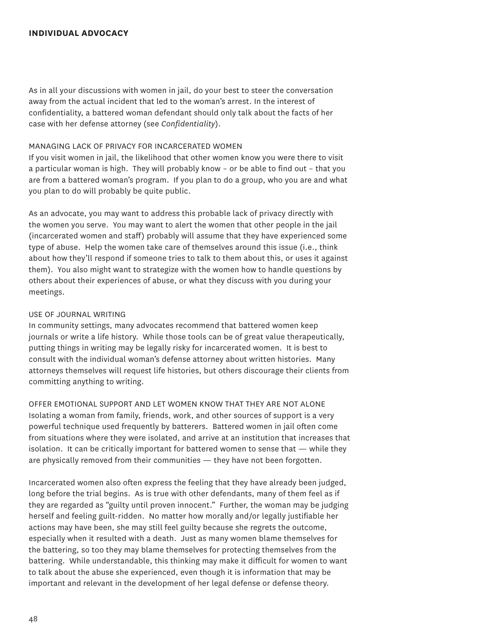## **individual advocacy**

As in all your discussions with women in jail, do your best to steer the conversation away from the actual incident that led to the woman's arrest. In the interest of confidentiality, a battered woman defendant should only talk about the facts of her case with her defense attorney (see *Confidentiality*).

#### Managing lack of privacy for incarcerated women

If you visit women in jail, the likelihood that other women know you were there to visit a particular woman is high. They will probably know – or be able to find out – that you are from a battered woman's program. If you plan to do a group, who you are and what you plan to do will probably be quite public.

As an advocate, you may want to address this probable lack of privacy directly with the women you serve. You may want to alert the women that other people in the jail (incarcerated women and staff) probably will assume that they have experienced some type of abuse. Help the women take care of themselves around this issue (i.e., think about how they'll respond if someone tries to talk to them about this, or uses it against them). You also might want to strategize with the women how to handle questions by others about their experiences of abuse, or what they discuss with you during your meetings.

## Use of journal writing

In community settings, many advocates recommend that battered women keep journals or write a life history. While those tools can be of great value therapeutically, putting things in writing may be legally risky for incarcerated women. It is best to consult with the individual woman's defense attorney about written histories. Many attorneys themselves will request life histories, but others discourage their clients from committing anything to writing.

Offer emotional support and let women know that they are not alone Isolating a woman from family, friends, work, and other sources of support is a very powerful technique used frequently by batterers. Battered women in jail often come from situations where they were isolated, and arrive at an institution that increases that isolation. It can be critically important for battered women to sense that — while they are physically removed from their communities — they have not been forgotten.

Incarcerated women also often express the feeling that they have already been judged, long before the trial begins. As is true with other defendants, many of them feel as if they are regarded as "guilty until proven innocent." Further, the woman may be judging herself and feeling guilt-ridden. No matter how morally and/or legally justifiable her actions may have been, she may still feel guilty because she regrets the outcome, especially when it resulted with a death. Just as many women blame themselves for the battering, so too they may blame themselves for protecting themselves from the battering. While understandable, this thinking may make it difficult for women to want to talk about the abuse she experienced, even though it is information that may be important and relevant in the development of her legal defense or defense theory.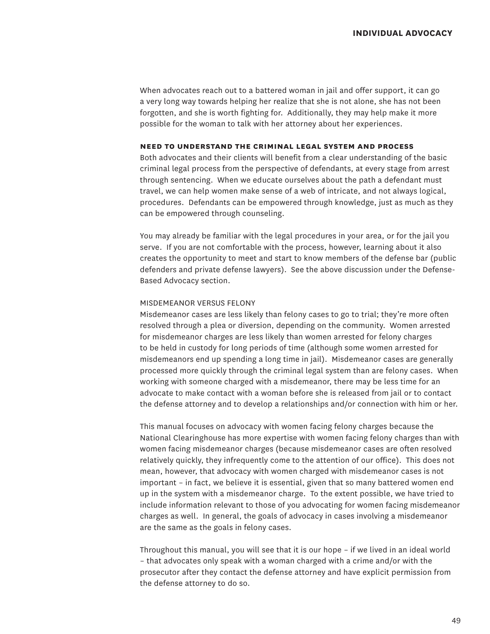When advocates reach out to a battered woman in jail and offer support, it can go a very long way towards helping her realize that she is not alone, she has not been forgotten, and she is worth fighting for. Additionally, they may help make it more possible for the woman to talk with her attorney about her experiences.

#### **need to understand the criminal legal system and process**

Both advocates and their clients will benefit from a clear understanding of the basic criminal legal process from the perspective of defendants, at every stage from arrest through sentencing. When we educate ourselves about the path a defendant must travel, we can help women make sense of a web of intricate, and not always logical, procedures. Defendants can be empowered through knowledge, just as much as they can be empowered through counseling.

You may already be familiar with the legal procedures in your area, or for the jail you serve. If you are not comfortable with the process, however, learning about it also creates the opportunity to meet and start to know members of the defense bar (public defenders and private defense lawyers). See the above discussion under the Defense-Based Advocacy section.

## Misdemeanor versus felony

Misdemeanor cases are less likely than felony cases to go to trial; they're more often resolved through a plea or diversion, depending on the community. Women arrested for misdemeanor charges are less likely than women arrested for felony charges to be held in custody for long periods of time (although some women arrested for misdemeanors end up spending a long time in jail). Misdemeanor cases are generally processed more quickly through the criminal legal system than are felony cases. When working with someone charged with a misdemeanor, there may be less time for an advocate to make contact with a woman before she is released from jail or to contact the defense attorney and to develop a relationships and/or connection with him or her.

This manual focuses on advocacy with women facing felony charges because the National Clearinghouse has more expertise with women facing felony charges than with women facing misdemeanor charges (because misdemeanor cases are often resolved relatively quickly, they infrequently come to the attention of our office). This does not mean, however, that advocacy with women charged with misdemeanor cases is not important – in fact, we believe it is essential, given that so many battered women end up in the system with a misdemeanor charge. To the extent possible, we have tried to include information relevant to those of you advocating for women facing misdemeanor charges as well. In general, the goals of advocacy in cases involving a misdemeanor are the same as the goals in felony cases.

Throughout this manual, you will see that it is our hope – if we lived in an ideal world – that advocates only speak with a woman charged with a crime and/or with the prosecutor after they contact the defense attorney and have explicit permission from the defense attorney to do so.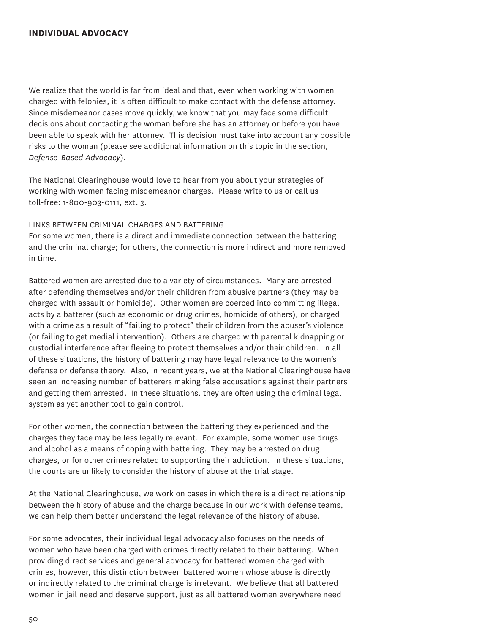## **individual advocacy**

We realize that the world is far from ideal and that, even when working with women charged with felonies, it is often difficult to make contact with the defense attorney. Since misdemeanor cases move quickly, we know that you may face some difficult decisions about contacting the woman before she has an attorney or before you have been able to speak with her attorney. This decision must take into account any possible risks to the woman (please see additional information on this topic in the section, *Defense-Based Advocacy*).

The National Clearinghouse would love to hear from you about your strategies of working with women facing misdemeanor charges. Please write to us or call us toll-free: 1-800-903-0111, ext. 3.

## Links between criminal charges and battering

For some women, there is a direct and immediate connection between the battering and the criminal charge; for others, the connection is more indirect and more removed in time.

Battered women are arrested due to a variety of circumstances. Many are arrested after defending themselves and/or their children from abusive partners (they may be charged with assault or homicide). Other women are coerced into committing illegal acts by a batterer (such as economic or drug crimes, homicide of others), or charged with a crime as a result of "failing to protect" their children from the abuser's violence (or failing to get medial intervention). Others are charged with parental kidnapping or custodial interference after fleeing to protect themselves and/or their children. In all of these situations, the history of battering may have legal relevance to the women's defense or defense theory. Also, in recent years, we at the National Clearinghouse have seen an increasing number of batterers making false accusations against their partners and getting them arrested. In these situations, they are often using the criminal legal system as yet another tool to gain control.

For other women, the connection between the battering they experienced and the charges they face may be less legally relevant. For example, some women use drugs and alcohol as a means of coping with battering. They may be arrested on drug charges, or for other crimes related to supporting their addiction. In these situations, the courts are unlikely to consider the history of abuse at the trial stage.

At the National Clearinghouse, we work on cases in which there is a direct relationship between the history of abuse and the charge because in our work with defense teams, we can help them better understand the legal relevance of the history of abuse.

For some advocates, their individual legal advocacy also focuses on the needs of women who have been charged with crimes directly related to their battering. When providing direct services and general advocacy for battered women charged with crimes, however, this distinction between battered women whose abuse is directly or indirectly related to the criminal charge is irrelevant. We believe that all battered women in jail need and deserve support, just as all battered women everywhere need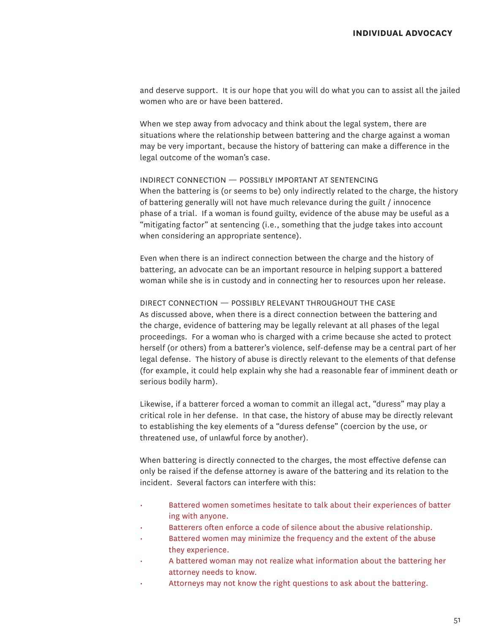and deserve support. It is our hope that you will do what you can to assist all the jailed women who are or have been battered.

When we step away from advocacy and think about the legal system, there are situations where the relationship between battering and the charge against a woman may be very important, because the history of battering can make a difference in the legal outcome of the woman's case.

#### Indirect connection — possibly important at sentencing

When the battering is (or seems to be) only indirectly related to the charge, the history of battering generally will not have much relevance during the guilt / innocence phase of a trial. If a woman is found guilty, evidence of the abuse may be useful as a "mitigating factor" at sentencing (i.e., something that the judge takes into account when considering an appropriate sentence).

Even when there is an indirect connection between the charge and the history of battering, an advocate can be an important resource in helping support a battered woman while she is in custody and in connecting her to resources upon her release.

## Direct connection — possibly relevant throughout the case

As discussed above, when there is a direct connection between the battering and the charge, evidence of battering may be legally relevant at all phases of the legal proceedings. For a woman who is charged with a crime because she acted to protect herself (or others) from a batterer's violence, self-defense may be a central part of her legal defense. The history of abuse is directly relevant to the elements of that defense (for example, it could help explain why she had a reasonable fear of imminent death or serious bodily harm).

Likewise, if a batterer forced a woman to commit an illegal act, "duress" may play a critical role in her defense. In that case, the history of abuse may be directly relevant to establishing the key elements of a "duress defense" (coercion by the use, or threatened use, of unlawful force by another).

When battering is directly connected to the charges, the most effective defense can only be raised if the defense attorney is aware of the battering and its relation to the incident. Several factors can interfere with this:

- Battered women sometimes hesitate to talk about their experiences of batter ing with anyone.
- Batterers often enforce a code of silence about the abusive relationship.
- Battered women may minimize the frequency and the extent of the abuse they experience.
- A battered woman may not realize what information about the battering her attorney needs to know.
- Attorneys may not know the right questions to ask about the battering.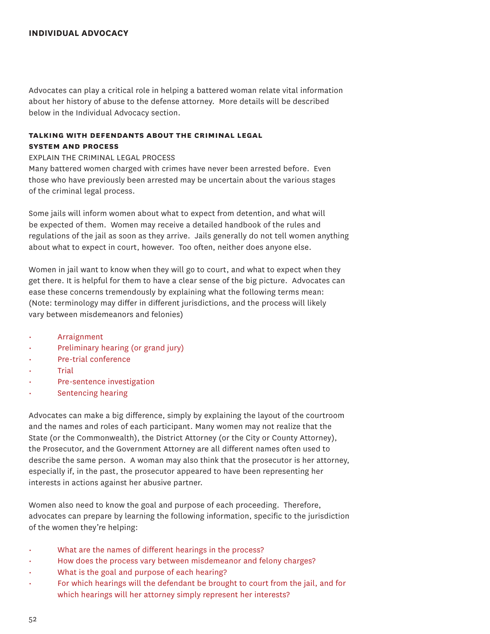## **individual advocacy**

Advocates can play a critical role in helping a battered woman relate vital information about her history of abuse to the defense attorney. More details will be described below in the Individual Advocacy section.

## **talking with defendants about the criminal legal system and process**

Explain the criminal legal process

Many battered women charged with crimes have never been arrested before. Even those who have previously been arrested may be uncertain about the various stages of the criminal legal process.

Some jails will inform women about what to expect from detention, and what will be expected of them. Women may receive a detailed handbook of the rules and regulations of the jail as soon as they arrive. Jails generally do not tell women anything about what to expect in court, however. Too often, neither does anyone else.

Women in jail want to know when they will go to court, and what to expect when they get there. It is helpful for them to have a clear sense of the big picture. Advocates can ease these concerns tremendously by explaining what the following terms mean: (Note: terminology may differ in different jurisdictions, and the process will likely vary between misdemeanors and felonies)

- **Arraignment**
- Preliminary hearing (or grand jury)
- Pre-trial conference
- **Trial**
- Pre-sentence investigation
- Sentencing hearing

Advocates can make a big difference, simply by explaining the layout of the courtroom and the names and roles of each participant. Many women may not realize that the State (or the Commonwealth), the District Attorney (or the City or County Attorney), the Prosecutor, and the Government Attorney are all different names often used to describe the same person. A woman may also think that the prosecutor is her attorney, especially if, in the past, the prosecutor appeared to have been representing her interests in actions against her abusive partner.

Women also need to know the goal and purpose of each proceeding. Therefore, advocates can prepare by learning the following information, specific to the jurisdiction of the women they're helping:

- What are the names of different hearings in the process?
- How does the process vary between misdemeanor and felony charges?
- What is the goal and purpose of each hearing?
- For which hearings will the defendant be brought to court from the jail, and for which hearings will her attorney simply represent her interests?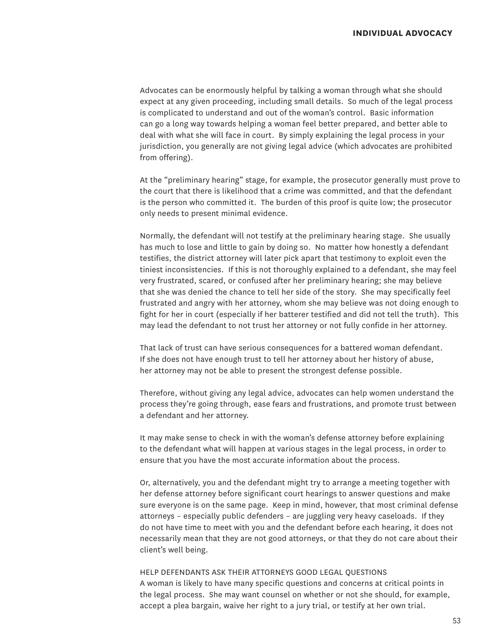Advocates can be enormously helpful by talking a woman through what she should expect at any given proceeding, including small details. So much of the legal process is complicated to understand and out of the woman's control. Basic information can go a long way towards helping a woman feel better prepared, and better able to deal with what she will face in court. By simply explaining the legal process in your jurisdiction, you generally are not giving legal advice (which advocates are prohibited from offering).

At the "preliminary hearing" stage, for example, the prosecutor generally must prove to the court that there is likelihood that a crime was committed, and that the defendant is the person who committed it. The burden of this proof is quite low; the prosecutor only needs to present minimal evidence.

Normally, the defendant will not testify at the preliminary hearing stage. She usually has much to lose and little to gain by doing so. No matter how honestly a defendant testifies, the district attorney will later pick apart that testimony to exploit even the tiniest inconsistencies. If this is not thoroughly explained to a defendant, she may feel very frustrated, scared, or confused after her preliminary hearing; she may believe that she was denied the chance to tell her side of the story. She may specifically feel frustrated and angry with her attorney, whom she may believe was not doing enough to fight for her in court (especially if her batterer testified and did not tell the truth). This may lead the defendant to not trust her attorney or not fully confide in her attorney.

That lack of trust can have serious consequences for a battered woman defendant. If she does not have enough trust to tell her attorney about her history of abuse, her attorney may not be able to present the strongest defense possible.

Therefore, without giving any legal advice, advocates can help women understand the process they're going through, ease fears and frustrations, and promote trust between a defendant and her attorney.

It may make sense to check in with the woman's defense attorney before explaining to the defendant what will happen at various stages in the legal process, in order to ensure that you have the most accurate information about the process.

Or, alternatively, you and the defendant might try to arrange a meeting together with her defense attorney before significant court hearings to answer questions and make sure everyone is on the same page. Keep in mind, however, that most criminal defense attorneys – especially public defenders – are juggling very heavy caseloads. If they do not have time to meet with you and the defendant before each hearing, it does not necessarily mean that they are not good attorneys, or that they do not care about their client's well being.

#### Help defendants ask their attorneys good legal questions

A woman is likely to have many specific questions and concerns at critical points in the legal process. She may want counsel on whether or not she should, for example, accept a plea bargain, waive her right to a jury trial, or testify at her own trial.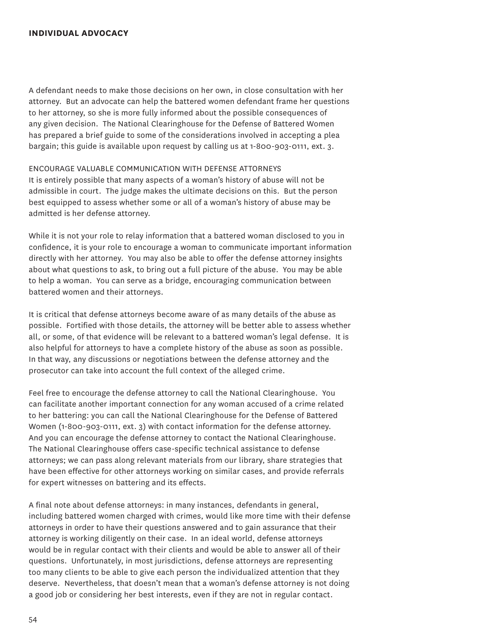## **individual advocacy**

A defendant needs to make those decisions on her own, in close consultation with her attorney. But an advocate can help the battered women defendant frame her questions to her attorney, so she is more fully informed about the possible consequences of any given decision. The National Clearinghouse for the Defense of Battered Women has prepared a brief guide to some of the considerations involved in accepting a plea bargain; this guide is available upon request by calling us at 1-800-903-0111, ext. 3.

Encourage valuable communication with defense attorneys It is entirely possible that many aspects of a woman's history of abuse will not be admissible in court. The judge makes the ultimate decisions on this. But the person best equipped to assess whether some or all of a woman's history of abuse may be admitted is her defense attorney.

While it is not your role to relay information that a battered woman disclosed to you in confidence, it is your role to encourage a woman to communicate important information directly with her attorney. You may also be able to offer the defense attorney insights about what questions to ask, to bring out a full picture of the abuse. You may be able to help a woman. You can serve as a bridge, encouraging communication between battered women and their attorneys.

It is critical that defense attorneys become aware of as many details of the abuse as possible. Fortified with those details, the attorney will be better able to assess whether all, or some, of that evidence will be relevant to a battered woman's legal defense. It is also helpful for attorneys to have a complete history of the abuse as soon as possible. In that way, any discussions or negotiations between the defense attorney and the prosecutor can take into account the full context of the alleged crime.

Feel free to encourage the defense attorney to call the National Clearinghouse. You can facilitate another important connection for any woman accused of a crime related to her battering: you can call the National Clearinghouse for the Defense of Battered Women (1-800-903-0111, ext. 3) with contact information for the defense attorney. And you can encourage the defense attorney to contact the National Clearinghouse. The National Clearinghouse offers case-specific technical assistance to defense attorneys; we can pass along relevant materials from our library, share strategies that have been effective for other attorneys working on similar cases, and provide referrals for expert witnesses on battering and its effects.

A final note about defense attorneys: in many instances, defendants in general, including battered women charged with crimes, would like more time with their defense attorneys in order to have their questions answered and to gain assurance that their attorney is working diligently on their case. In an ideal world, defense attorneys would be in regular contact with their clients and would be able to answer all of their questions. Unfortunately, in most jurisdictions, defense attorneys are representing too many clients to be able to give each person the individualized attention that they deserve. Nevertheless, that doesn't mean that a woman's defense attorney is not doing a good job or considering her best interests, even if they are not in regular contact.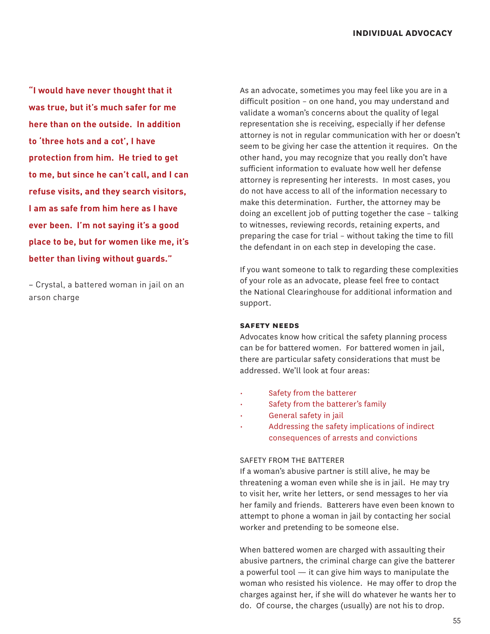**"I would have never thought that it was true, but it's much safer for me here than on the outside. In addition to 'three hots and a cot', I have protection from him. He tried to get to me, but since he can't call, and I can refuse visits, and they search visitors, I am as safe from him here as I have ever been. I'm not saying it's a good place to be, but for women like me, it's better than living without guards."**

– Crystal, a battered woman in jail on an arson charge

As an advocate, sometimes you may feel like you are in a difficult position – on one hand, you may understand and validate a woman's concerns about the quality of legal representation she is receiving, especially if her defense attorney is not in regular communication with her or doesn't seem to be giving her case the attention it requires. On the other hand, you may recognize that you really don't have sufficient information to evaluate how well her defense attorney is representing her interests. In most cases, you do not have access to all of the information necessary to make this determination. Further, the attorney may be doing an excellent job of putting together the case – talking to witnesses, reviewing records, retaining experts, and preparing the case for trial – without taking the time to fill the defendant in on each step in developing the case.

If you want someone to talk to regarding these complexities of your role as an advocate, please feel free to contact the National Clearinghouse for additional information and support.

## **safety needs**

Advocates know how critical the safety planning process can be for battered women. For battered women in jail, there are particular safety considerations that must be addressed. We'll look at four areas:

- Safety from the batterer
- Safety from the batterer's family
- General safety in jail
- Addressing the safety implications of indirect consequences of arrests and convictions

### SAFFTY FROM THE BATTERER

If a woman's abusive partner is still alive, he may be threatening a woman even while she is in jail. He may try to visit her, write her letters, or send messages to her via her family and friends. Batterers have even been known to attempt to phone a woman in jail by contacting her social worker and pretending to be someone else.

When battered women are charged with assaulting their abusive partners, the criminal charge can give the batterer a powerful tool — it can give him ways to manipulate the woman who resisted his violence. He may offer to drop the charges against her, if she will do whatever he wants her to do. Of course, the charges (usually) are not his to drop.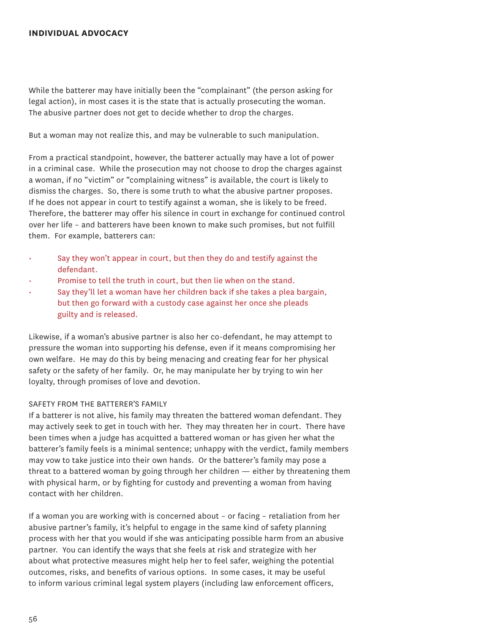#### **individual advocacy**

While the batterer may have initially been the "complainant" (the person asking for legal action), in most cases it is the state that is actually prosecuting the woman. The abusive partner does not get to decide whether to drop the charges.

But a woman may not realize this, and may be vulnerable to such manipulation.

From a practical standpoint, however, the batterer actually may have a lot of power in a criminal case. While the prosecution may not choose to drop the charges against a woman, if no "victim" or "complaining witness" is available, the court is likely to dismiss the charges. So, there is some truth to what the abusive partner proposes. If he does not appear in court to testify against a woman, she is likely to be freed. Therefore, the batterer may offer his silence in court in exchange for continued control over her life – and batterers have been known to make such promises, but not fulfill them. For example, batterers can:

- Say they won't appear in court, but then they do and testify against the defendant.
- Promise to tell the truth in court, but then lie when on the stand.
- Say they'll let a woman have her children back if she takes a plea bargain, but then go forward with a custody case against her once she pleads guilty and is released.

Likewise, if a woman's abusive partner is also her co-defendant, he may attempt to pressure the woman into supporting his defense, even if it means compromising her own welfare. He may do this by being menacing and creating fear for her physical safety or the safety of her family. Or, he may manipulate her by trying to win her loyalty, through promises of love and devotion.

#### Safety from the batterer's family

If a batterer is not alive, his family may threaten the battered woman defendant. They may actively seek to get in touch with her. They may threaten her in court. There have been times when a judge has acquitted a battered woman or has given her what the batterer's family feels is a minimal sentence; unhappy with the verdict, family members may vow to take justice into their own hands. Or the batterer's family may pose a threat to a battered woman by going through her children — either by threatening them with physical harm, or by fighting for custody and preventing a woman from having contact with her children.

If a woman you are working with is concerned about – or facing – retaliation from her abusive partner's family, it's helpful to engage in the same kind of safety planning process with her that you would if she was anticipating possible harm from an abusive partner. You can identify the ways that she feels at risk and strategize with her about what protective measures might help her to feel safer, weighing the potential outcomes, risks, and benefits of various options. In some cases, it may be useful to inform various criminal legal system players (including law enforcement officers,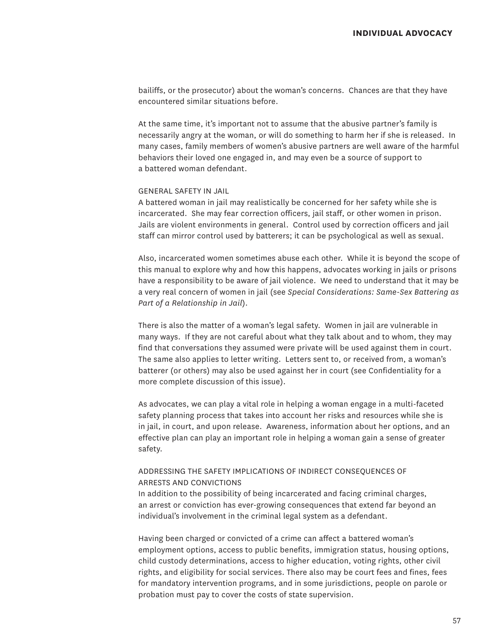bailiffs, or the prosecutor) about the woman's concerns. Chances are that they have encountered similar situations before.

At the same time, it's important not to assume that the abusive partner's family is necessarily angry at the woman, or will do something to harm her if she is released. In many cases, family members of women's abusive partners are well aware of the harmful behaviors their loved one engaged in, and may even be a source of support to a battered woman defendant.

## General safety in jail

A battered woman in jail may realistically be concerned for her safety while she is incarcerated. She may fear correction officers, jail staff, or other women in prison. Jails are violent environments in general. Control used by correction officers and jail staff can mirror control used by batterers; it can be psychological as well as sexual.

Also, incarcerated women sometimes abuse each other. While it is beyond the scope of this manual to explore why and how this happens, advocates working in jails or prisons have a responsibility to be aware of jail violence. We need to understand that it may be a very real concern of women in jail (see *Special Considerations: Same-Sex Battering as Part of a Relationship in Jail*).

There is also the matter of a woman's legal safety. Women in jail are vulnerable in many ways. If they are not careful about what they talk about and to whom, they may find that conversations they assumed were private will be used against them in court. The same also applies to letter writing. Letters sent to, or received from, a woman's batterer (or others) may also be used against her in court (see Confidentiality for a more complete discussion of this issue).

As advocates, we can play a vital role in helping a woman engage in a multi-faceted safety planning process that takes into account her risks and resources while she is in jail, in court, and upon release. Awareness, information about her options, and an effective plan can play an important role in helping a woman gain a sense of greater safety.

## Addressing the Safety Implications of Indirect Consequences of Arrests and Convictions

In addition to the possibility of being incarcerated and facing criminal charges, an arrest or conviction has ever-growing consequences that extend far beyond an individual's involvement in the criminal legal system as a defendant.

Having been charged or convicted of a crime can affect a battered woman's employment options, access to public benefits, immigration status, housing options, child custody determinations, access to higher education, voting rights, other civil rights, and eligibility for social services. There also may be court fees and fines, fees for mandatory intervention programs, and in some jurisdictions, people on parole or probation must pay to cover the costs of state supervision.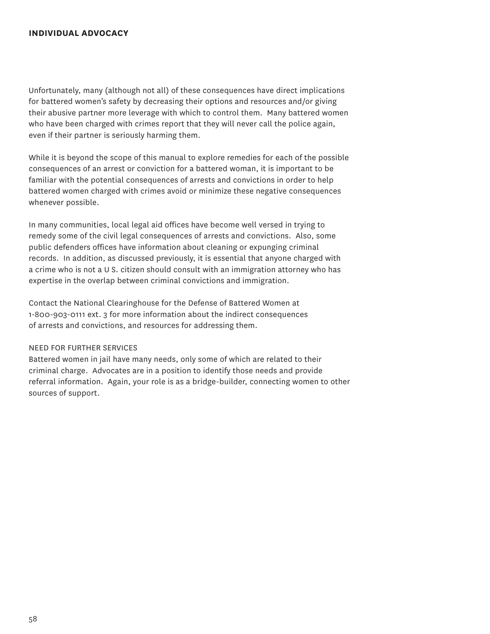## **individual advocacy**

Unfortunately, many (although not all) of these consequences have direct implications for battered women's safety by decreasing their options and resources and/or giving their abusive partner more leverage with which to control them. Many battered women who have been charged with crimes report that they will never call the police again, even if their partner is seriously harming them.

While it is beyond the scope of this manual to explore remedies for each of the possible consequences of an arrest or conviction for a battered woman, it is important to be familiar with the potential consequences of arrests and convictions in order to help battered women charged with crimes avoid or minimize these negative consequences whenever possible.

In many communities, local legal aid offices have become well versed in trying to remedy some of the civil legal consequences of arrests and convictions. Also, some public defenders offices have information about cleaning or expunging criminal records. In addition, as discussed previously, it is essential that anyone charged with a crime who is not a U S. citizen should consult with an immigration attorney who has expertise in the overlap between criminal convictions and immigration.

Contact the National Clearinghouse for the Defense of Battered Women at 1-800-903-0111 ext. 3 for more information about the indirect consequences of arrests and convictions, and resources for addressing them.

## Need for Further Services

Battered women in jail have many needs, only some of which are related to their criminal charge. Advocates are in a position to identify those needs and provide referral information. Again, your role is as a bridge-builder, connecting women to other sources of support.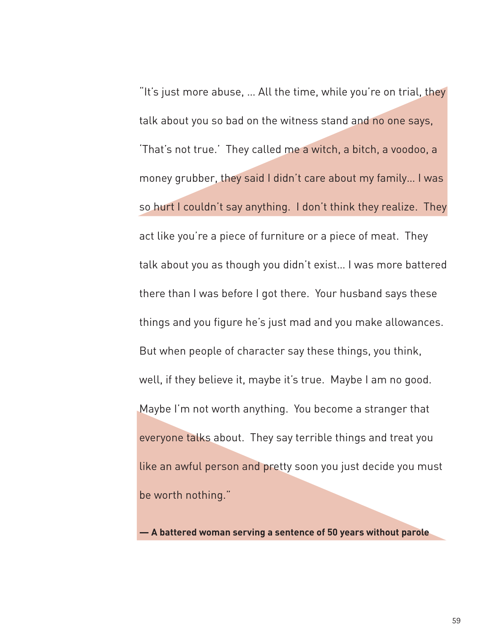"It's just more abuse, … All the time, while you're on trial, they talk about you so bad on the witness stand and no one says, 'That's not true.' They called me a witch, a bitch, a voodoo, a money grubber, they said I didn't care about my family… I was so hurt I couldn't say anything. I don't think they realize. They act like you're a piece of furniture or a piece of meat. They talk about you as though you didn't exist… I was more battered there than I was before I got there. Your husband says these things and you figure he's just mad and you make allowances. But when people of character say these things, you think, well, if they believe it, maybe it's true. Maybe I am no good. Maybe I'm not worth anything. You become a stranger that everyone talks about. They say terrible things and treat you like an awful person and pretty soon you just decide you must be worth nothing."

**— A battered woman serving a sentence of 50 years without parole**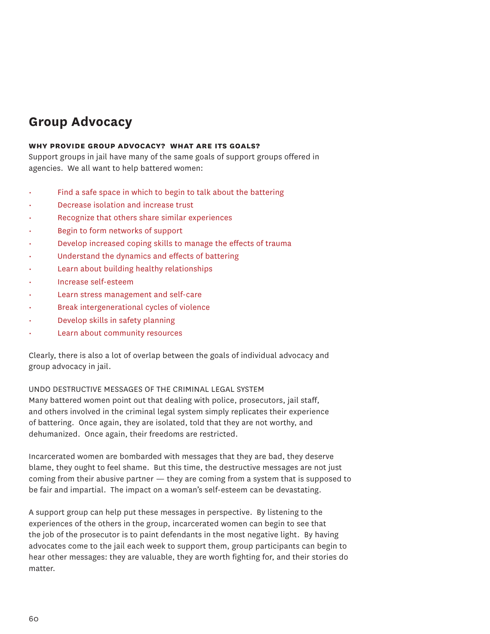# **Group Advocacy**

## **why provide group advocacy? what are its goals?**

Support groups in jail have many of the same goals of support groups offered in agencies. We all want to help battered women:

- Find a safe space in which to begin to talk about the battering
- Decrease isolation and increase trust
- Recognize that others share similar experiences
- Begin to form networks of support
- Develop increased coping skills to manage the effects of trauma
- Understand the dynamics and effects of battering
- Learn about building healthy relationships
- Increase self-esteem
- Learn stress management and self-care
- Break intergenerational cycles of violence
- Develop skills in safety planning
- Learn about community resources

Clearly, there is also a lot of overlap between the goals of individual advocacy and group advocacy in jail.

Undo destructive messages of the criminal legal system

Many battered women point out that dealing with police, prosecutors, jail staff, and others involved in the criminal legal system simply replicates their experience of battering. Once again, they are isolated, told that they are not worthy, and dehumanized. Once again, their freedoms are restricted.

Incarcerated women are bombarded with messages that they are bad, they deserve blame, they ought to feel shame. But this time, the destructive messages are not just coming from their abusive partner — they are coming from a system that is supposed to be fair and impartial. The impact on a woman's self-esteem can be devastating.

A support group can help put these messages in perspective. By listening to the experiences of the others in the group, incarcerated women can begin to see that the job of the prosecutor is to paint defendants in the most negative light. By having advocates come to the jail each week to support them, group participants can begin to hear other messages: they are valuable, they are worth fighting for, and their stories do matter.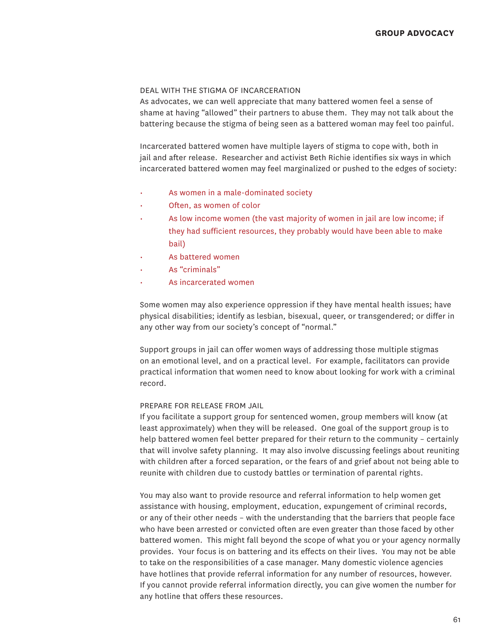#### Deal with the stigma of incarceration

As advocates, we can well appreciate that many battered women feel a sense of shame at having "allowed" their partners to abuse them. They may not talk about the battering because the stigma of being seen as a battered woman may feel too painful.

Incarcerated battered women have multiple layers of stigma to cope with, both in jail and after release. Researcher and activist Beth Richie identifies six ways in which incarcerated battered women may feel marginalized or pushed to the edges of society:

- As women in a male-dominated society
- Often, as women of color
- As low income women (the vast majority of women in jail are low income; if they had sufficient resources, they probably would have been able to make bail)
- As battered women
- As "criminals"
- As incarcerated women

Some women may also experience oppression if they have mental health issues; have physical disabilities; identify as lesbian, bisexual, queer, or transgendered; or differ in any other way from our society's concept of "normal."

Support groups in jail can offer women ways of addressing those multiple stigmas on an emotional level, and on a practical level. For example, facilitators can provide practical information that women need to know about looking for work with a criminal record.

## Prepare for release from jail

If you facilitate a support group for sentenced women, group members will know (at least approximately) when they will be released. One goal of the support group is to help battered women feel better prepared for their return to the community – certainly that will involve safety planning. It may also involve discussing feelings about reuniting with children after a forced separation, or the fears of and grief about not being able to reunite with children due to custody battles or termination of parental rights.

You may also want to provide resource and referral information to help women get assistance with housing, employment, education, expungement of criminal records, or any of their other needs – with the understanding that the barriers that people face who have been arrested or convicted often are even greater than those faced by other battered women. This might fall beyond the scope of what you or your agency normally provides. Your focus is on battering and its effects on their lives. You may not be able to take on the responsibilities of a case manager. Many domestic violence agencies have hotlines that provide referral information for any number of resources, however. If you cannot provide referral information directly, you can give women the number for any hotline that offers these resources.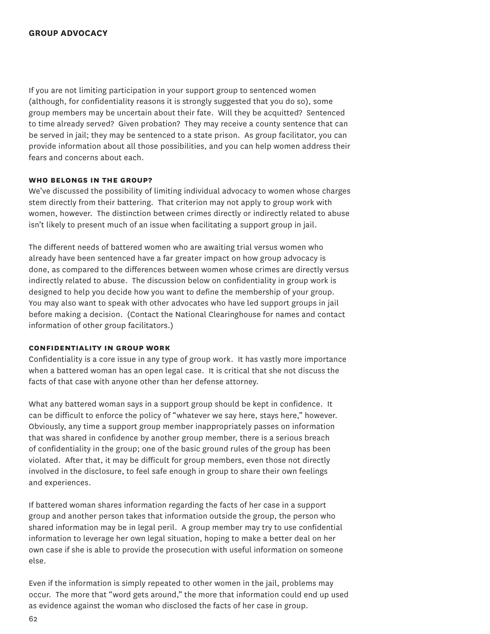If you are not limiting participation in your support group to sentenced women (although, for confidentiality reasons it is strongly suggested that you do so), some group members may be uncertain about their fate. Will they be acquitted? Sentenced to time already served? Given probation? They may receive a county sentence that can be served in jail; they may be sentenced to a state prison. As group facilitator, you can provide information about all those possibilities, and you can help women address their fears and concerns about each.

#### **who belongs in the group?**

We've discussed the possibility of limiting individual advocacy to women whose charges stem directly from their battering. That criterion may not apply to group work with women, however. The distinction between crimes directly or indirectly related to abuse isn't likely to present much of an issue when facilitating a support group in jail.

The different needs of battered women who are awaiting trial versus women who already have been sentenced have a far greater impact on how group advocacy is done, as compared to the differences between women whose crimes are directly versus indirectly related to abuse. The discussion below on confidentiality in group work is designed to help you decide how you want to define the membership of your group. You may also want to speak with other advocates who have led support groups in jail before making a decision. (Contact the National Clearinghouse for names and contact information of other group facilitators.)

## **confidentiality in group work**

Confidentiality is a core issue in any type of group work. It has vastly more importance when a battered woman has an open legal case. It is critical that she not discuss the facts of that case with anyone other than her defense attorney.

What any battered woman says in a support group should be kept in confidence. It can be difficult to enforce the policy of "whatever we say here, stays here," however. Obviously, any time a support group member inappropriately passes on information that was shared in confidence by another group member, there is a serious breach of confidentiality in the group; one of the basic ground rules of the group has been violated. After that, it may be difficult for group members, even those not directly involved in the disclosure, to feel safe enough in group to share their own feelings and experiences.

If battered woman shares information regarding the facts of her case in a support group and another person takes that information outside the group, the person who shared information may be in legal peril. A group member may try to use confidential information to leverage her own legal situation, hoping to make a better deal on her own case if she is able to provide the prosecution with useful information on someone else.

Even if the information is simply repeated to other women in the jail, problems may occur. The more that "word gets around," the more that information could end up used as evidence against the woman who disclosed the facts of her case in group.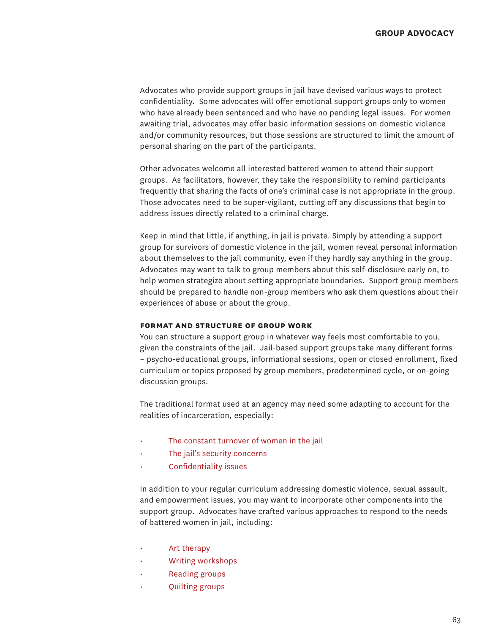Advocates who provide support groups in jail have devised various ways to protect confidentiality. Some advocates will offer emotional support groups only to women who have already been sentenced and who have no pending legal issues. For women awaiting trial, advocates may offer basic information sessions on domestic violence and/or community resources, but those sessions are structured to limit the amount of personal sharing on the part of the participants.

Other advocates welcome all interested battered women to attend their support groups. As facilitators, however, they take the responsibility to remind participants frequently that sharing the facts of one's criminal case is not appropriate in the group. Those advocates need to be super-vigilant, cutting off any discussions that begin to address issues directly related to a criminal charge.

Keep in mind that little, if anything, in jail is private. Simply by attending a support group for survivors of domestic violence in the jail, women reveal personal information about themselves to the jail community, even if they hardly say anything in the group. Advocates may want to talk to group members about this self-disclosure early on, to help women strategize about setting appropriate boundaries. Support group members should be prepared to handle non-group members who ask them questions about their experiences of abuse or about the group.

#### **format and structure of group work**

You can structure a support group in whatever way feels most comfortable to you, given the constraints of the jail. Jail-based support groups take many different forms – psycho-educational groups, informational sessions, open or closed enrollment, fixed curriculum or topics proposed by group members, predetermined cycle, or on-going discussion groups.

The traditional format used at an agency may need some adapting to account for the realities of incarceration, especially:

- The constant turnover of women in the jail
- The jail's security concerns
- Confidentiality issues

In addition to your regular curriculum addressing domestic violence, sexual assault, and empowerment issues, you may want to incorporate other components into the support group. Advocates have crafted various approaches to respond to the needs of battered women in jail, including:

- Art therapy
- Writing workshops
- Reading groups
- Quilting groups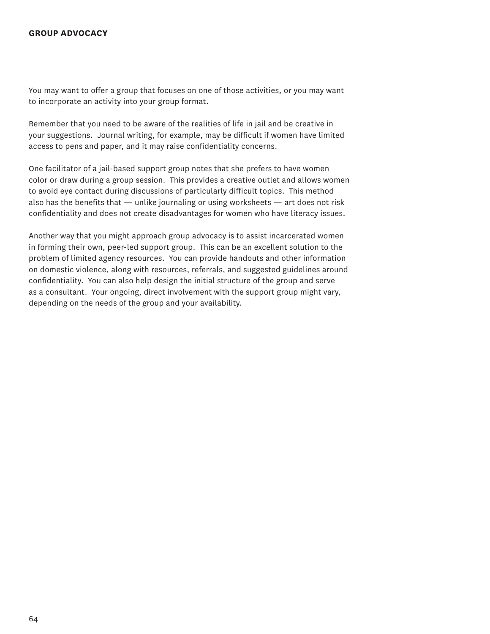## **group advocacy**

You may want to offer a group that focuses on one of those activities, or you may want to incorporate an activity into your group format.

Remember that you need to be aware of the realities of life in jail and be creative in your suggestions. Journal writing, for example, may be difficult if women have limited access to pens and paper, and it may raise confidentiality concerns.

One facilitator of a jail-based support group notes that she prefers to have women color or draw during a group session. This provides a creative outlet and allows women to avoid eye contact during discussions of particularly difficult topics. This method also has the benefits that  $-$  unlike journaling or using worksheets  $-$  art does not risk confidentiality and does not create disadvantages for women who have literacy issues.

Another way that you might approach group advocacy is to assist incarcerated women in forming their own, peer-led support group. This can be an excellent solution to the problem of limited agency resources. You can provide handouts and other information on domestic violence, along with resources, referrals, and suggested guidelines around confidentiality. You can also help design the initial structure of the group and serve as a consultant. Your ongoing, direct involvement with the support group might vary, depending on the needs of the group and your availability.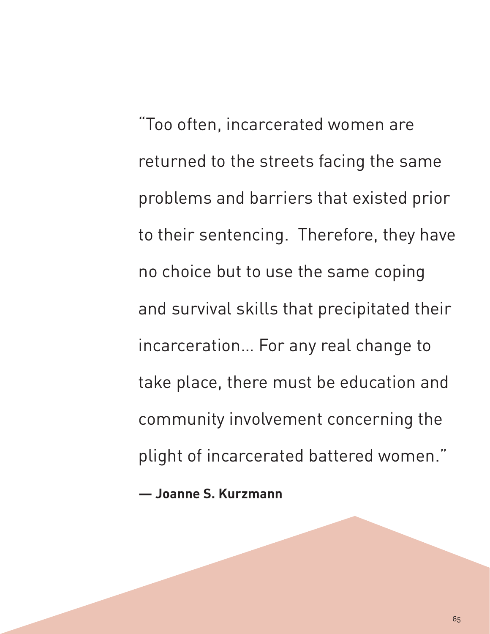"Too often, incarcerated women are returned to the streets facing the same problems and barriers that existed prior to their sentencing. Therefore, they have no choice but to use the same coping and survival skills that precipitated their incarceration… For any real change to take place, there must be education and community involvement concerning the plight of incarcerated battered women."

**— Joanne S. Kurzmann**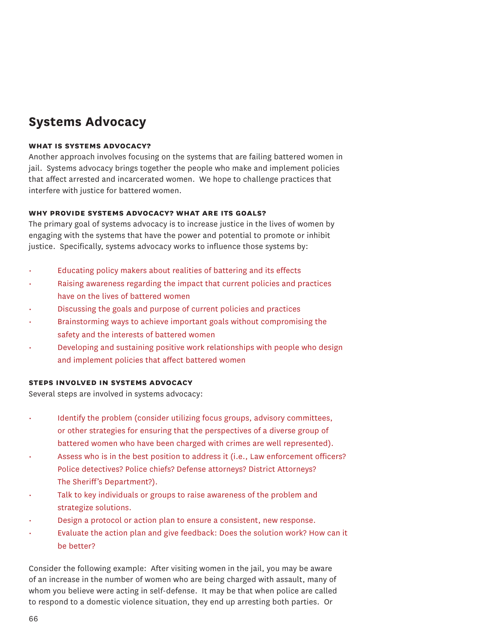## **Systems Advocacy**

### **what is systems advocacy?**

Another approach involves focusing on the systems that are failing battered women in jail. Systems advocacy brings together the people who make and implement policies that affect arrested and incarcerated women. We hope to challenge practices that interfere with justice for battered women.

## **why provide systems advocacy? what are its goals?**

The primary goal of systems advocacy is to increase justice in the lives of women by engaging with the systems that have the power and potential to promote or inhibit justice. Specifically, systems advocacy works to influence those systems by:

- Educating policy makers about realities of battering and its effects
- Raising awareness regarding the impact that current policies and practices have on the lives of battered women
- Discussing the goals and purpose of current policies and practices
- Brainstorming ways to achieve important goals without compromising the safety and the interests of battered women
- Developing and sustaining positive work relationships with people who design and implement policies that affect battered women

## **steps involved in systems advocacy**

Several steps are involved in systems advocacy:

- Identify the problem (consider utilizing focus groups, advisory committees, or other strategies for ensuring that the perspectives of a diverse group of battered women who have been charged with crimes are well represented).
- Assess who is in the best position to address it (i.e., Law enforcement officers? Police detectives? Police chiefs? Defense attorneys? District Attorneys? The Sheriff's Department?).
- Talk to key individuals or groups to raise awareness of the problem and strategize solutions.
- Design a protocol or action plan to ensure a consistent, new response.
- Evaluate the action plan and give feedback: Does the solution work? How can it be better?

Consider the following example: After visiting women in the jail, you may be aware of an increase in the number of women who are being charged with assault, many of whom you believe were acting in self-defense. It may be that when police are called to respond to a domestic violence situation, they end up arresting both parties. Or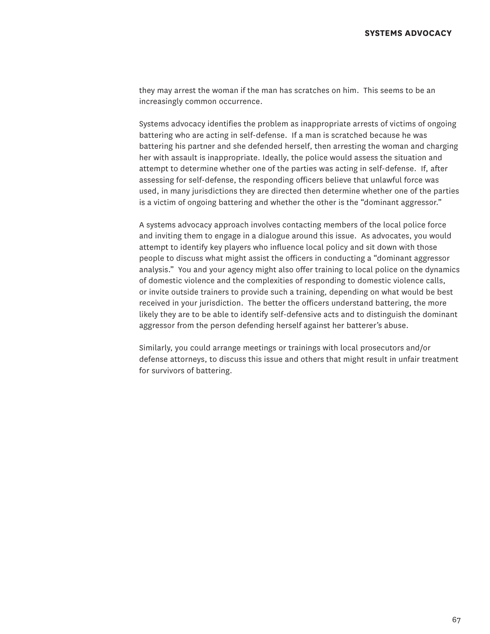they may arrest the woman if the man has scratches on him. This seems to be an increasingly common occurrence.

Systems advocacy identifies the problem as inappropriate arrests of victims of ongoing battering who are acting in self-defense. If a man is scratched because he was battering his partner and she defended herself, then arresting the woman and charging her with assault is inappropriate. Ideally, the police would assess the situation and attempt to determine whether one of the parties was acting in self-defense. If, after assessing for self-defense, the responding officers believe that unlawful force was used, in many jurisdictions they are directed then determine whether one of the parties is a victim of ongoing battering and whether the other is the "dominant aggressor."

A systems advocacy approach involves contacting members of the local police force and inviting them to engage in a dialogue around this issue. As advocates, you would attempt to identify key players who influence local policy and sit down with those people to discuss what might assist the officers in conducting a "dominant aggressor analysis." You and your agency might also offer training to local police on the dynamics of domestic violence and the complexities of responding to domestic violence calls, or invite outside trainers to provide such a training, depending on what would be best received in your jurisdiction. The better the officers understand battering, the more likely they are to be able to identify self-defensive acts and to distinguish the dominant aggressor from the person defending herself against her batterer's abuse.

Similarly, you could arrange meetings or trainings with local prosecutors and/or defense attorneys, to discuss this issue and others that might result in unfair treatment for survivors of battering.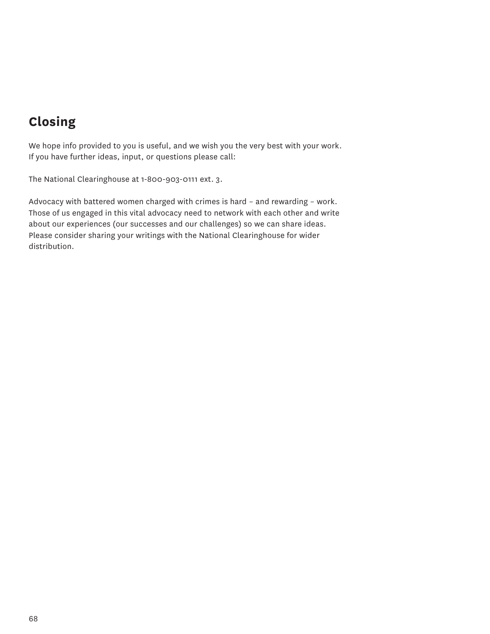# **Closing**

We hope info provided to you is useful, and we wish you the very best with your work. If you have further ideas, input, or questions please call:

The National Clearinghouse at 1-800-903-0111 ext. 3.

Advocacy with battered women charged with crimes is hard – and rewarding – work. Those of us engaged in this vital advocacy need to network with each other and write about our experiences (our successes and our challenges) so we can share ideas. Please consider sharing your writings with the National Clearinghouse for wider distribution.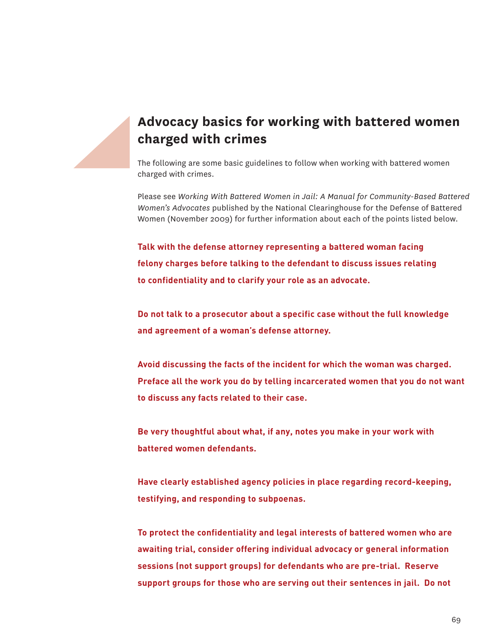## **Advocacy basics for working with battered women charged with crimes**

The following are some basic guidelines to follow when working with battered women charged with crimes.

Please see *Working With Battered Women in Jail: A Manual for Community-Based Battered Women's Advocates* published by the National Clearinghouse for the Defense of Battered Women (November 2009) for further information about each of the points listed below.

**Talk with the defense attorney representing a battered woman facing felony charges before talking to the defendant to discuss issues relating to confidentiality and to clarify your role as an advocate.** 

**Do not talk to a prosecutor about a specific case without the full knowledge and agreement of a woman's defense attorney.**

**Avoid discussing the facts of the incident for which the woman was charged. Preface all the work you do by telling incarcerated women that you do not want to discuss any facts related to their case.**

**Be very thoughtful about what, if any, notes you make in your work with battered women defendants.**

**Have clearly established agency policies in place regarding record-keeping, testifying, and responding to subpoenas.** 

**To protect the confidentiality and legal interests of battered women who are awaiting trial, consider offering individual advocacy or general information sessions (not support groups) for defendants who are pre-trial. Reserve support groups for those who are serving out their sentences in jail. Do not**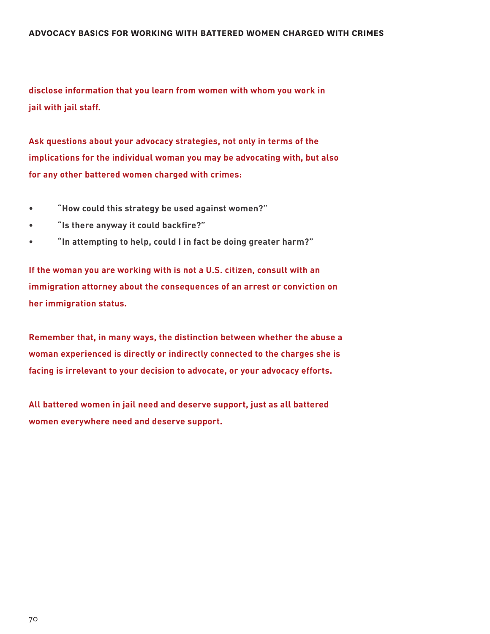**disclose information that you learn from women with whom you work in jail with jail staff.**

**Ask questions about your advocacy strategies, not only in terms of the implications for the individual woman you may be advocating with, but also for any other battered women charged with crimes:** 

- **• "How could this strategy be used against women?"**
- **• "Is there anyway it could backfire?"**
- **• "In attempting to help, could I in fact be doing greater harm?"**

**If the woman you are working with is not a U.S. citizen, consult with an immigration attorney about the consequences of an arrest or conviction on her immigration status.**

**Remember that, in many ways, the distinction between whether the abuse a woman experienced is directly or indirectly connected to the charges she is facing is irrelevant to your decision to advocate, or your advocacy efforts.** 

**All battered women in jail need and deserve support, just as all battered women everywhere need and deserve support.**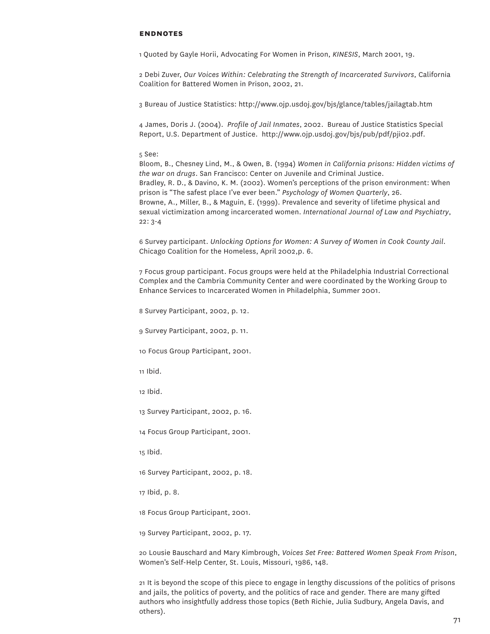#### **endnotes**

1 Quoted by Gayle Horii, Advocating For Women in Prison, *KINESIS*, March 2001, 19.

2 Debi Zuver, *Our Voices Within: Celebrating the Strength of Incarcerated Survivors*, California Coalition for Battered Women in Prison, 2002, 21.

3 Bureau of Justice Statistics: http://www.ojp.usdoj.gov/bjs/glance/tables/jailagtab.htm

4 James, Doris J. (2004). *Profile of Jail Inmates*, 2002. Bureau of Justice Statistics Special Report, U.S. Department of Justice. http://www.ojp.usdoj.gov/bjs/pub/pdf/pji02.pdf.

#### 5 See:

Bloom, B., Chesney Lind, M., & Owen, B. (1994) *Women in California prisons: Hidden victims of the war on drugs*. San Francisco: Center on Juvenile and Criminal Justice. Bradley, R. D., & Davino, K. M. (2002). Women's perceptions of the prison environment: When prison is "The safest place I've ever been." *Psychology of Women Quarterly*, 26. Browne, A., Miller, B., & Maguin, E. (1999). Prevalence and severity of lifetime physical and sexual victimization among incarcerated women. *International Journal of Law and Psychiatry*, 22: 3-4

6 Survey participant. *Unlocking Options for Women: A Survey of Women in Cook County Jail*. Chicago Coalition for the Homeless, April 2002,p. 6.

7 Focus group participant. Focus groups were held at the Philadelphia Industrial Correctional Complex and the Cambria Community Center and were coordinated by the Working Group to Enhance Services to Incarcerated Women in Philadelphia, Summer 2001.

8 Survey Participant, 2002, p. 12.

9 Survey Participant, 2002, p. 11.

10 Focus Group Participant, 2001.

11 Ibid.

12 Ibid.

13 Survey Participant, 2002, p. 16.

14 Focus Group Participant, 2001.

15 Ibid.

16 Survey Participant, 2002, p. 18.

17 Ibid, p. 8.

18 Focus Group Participant, 2001.

19 Survey Participant, 2002, p. 17.

20 Lousie Bauschard and Mary Kimbrough, *Voices Set Free: Battered Women Speak From Prison*, Women's Self-Help Center, St. Louis, Missouri, 1986, 148.

21 It is beyond the scope of this piece to engage in lengthy discussions of the politics of prisons and jails, the politics of poverty, and the politics of race and gender. There are many gifted authors who insightfully address those topics (Beth Richie, Julia Sudbury, Angela Davis, and others).